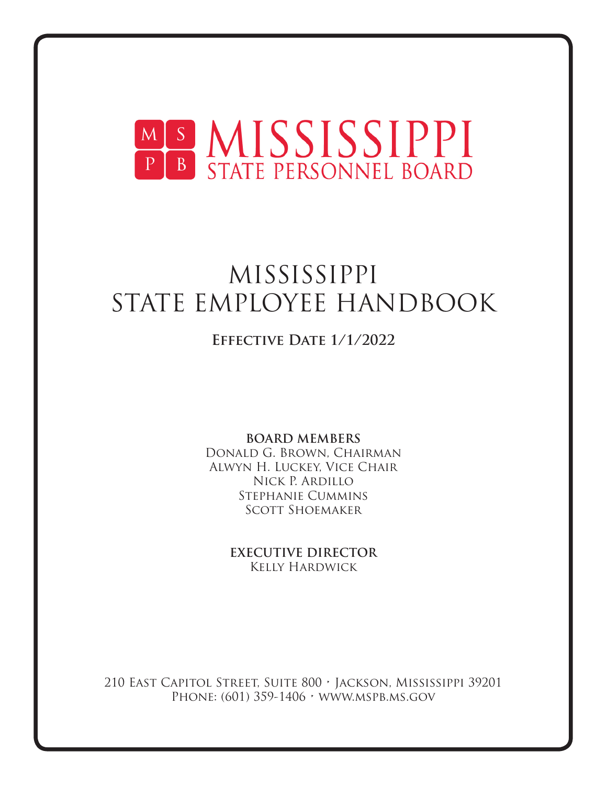

# MISSISSIPPI STATE EMPLOYEE HANDBOOK

# **Effective Date 1/1/2022**

**BOARD MEMBERS** Donald G. Brown, Chairman Alwyn H. Luckey, Vice Chair Nick P. Ardillo Stephanie Cummins Scott Shoemaker

> **EXECUTIVE DIRECTOR** Kelly Hardwick

210 East Capitol Street, Suite 800 • Jackson, Mississippi 39201 PHONE: (601) 359-1406 • WWW.MSPB.MS.GOV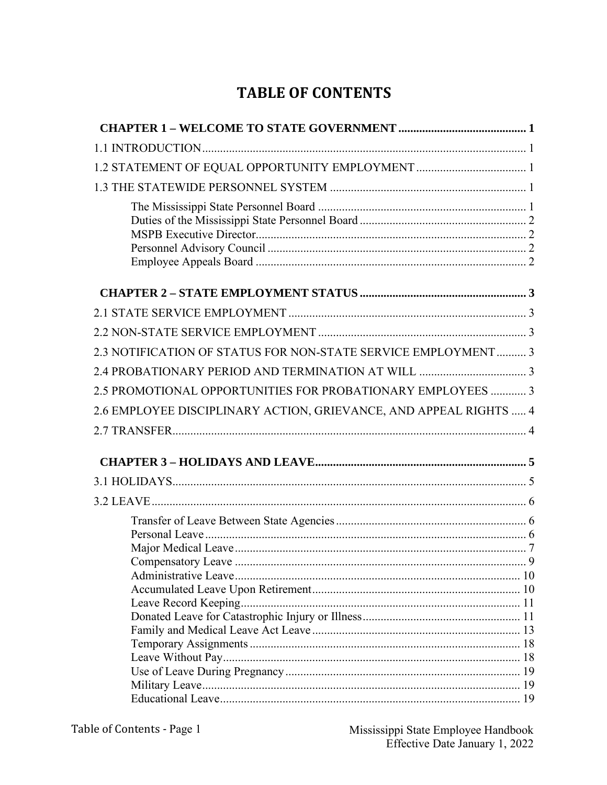# **TABLE OF CONTENTS**

| 1.2 STATEMENT OF EQUAL OPPORTUNITY EMPLOYMENT  1                  |
|-------------------------------------------------------------------|
|                                                                   |
|                                                                   |
|                                                                   |
|                                                                   |
|                                                                   |
| 2.3 NOTIFICATION OF STATUS FOR NON-STATE SERVICE EMPLOYMENT 3     |
|                                                                   |
| 2.5 PROMOTIONAL OPPORTUNITIES FOR PROBATIONARY EMPLOYEES  3       |
| 2.6 EMPLOYEE DISCIPLINARY ACTION, GRIEVANCE, AND APPEAL RIGHTS  4 |
|                                                                   |
|                                                                   |
|                                                                   |
|                                                                   |
|                                                                   |
|                                                                   |
|                                                                   |
|                                                                   |
|                                                                   |
|                                                                   |
|                                                                   |
|                                                                   |
|                                                                   |
|                                                                   |
|                                                                   |
|                                                                   |
|                                                                   |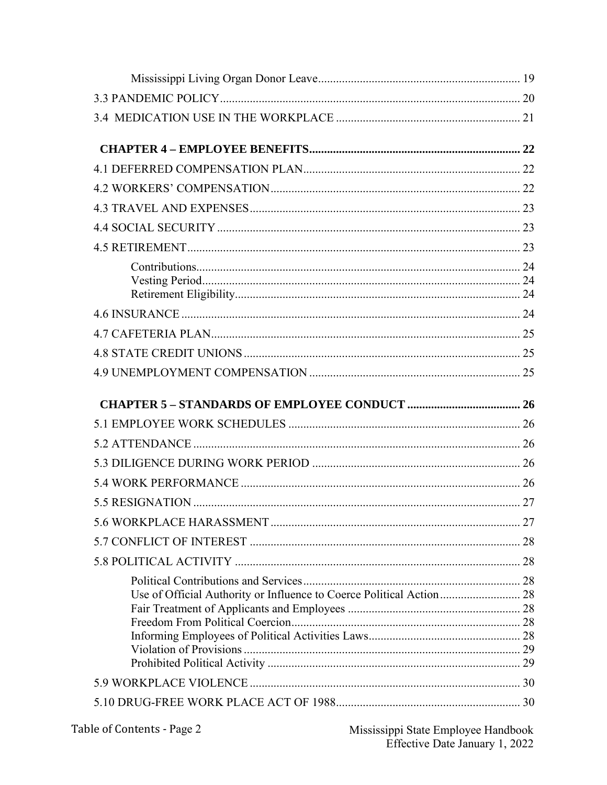| Use of Official Authority or Influence to Coerce Political Action 28 |  |
|----------------------------------------------------------------------|--|
|                                                                      |  |
|                                                                      |  |
|                                                                      |  |
|                                                                      |  |
|                                                                      |  |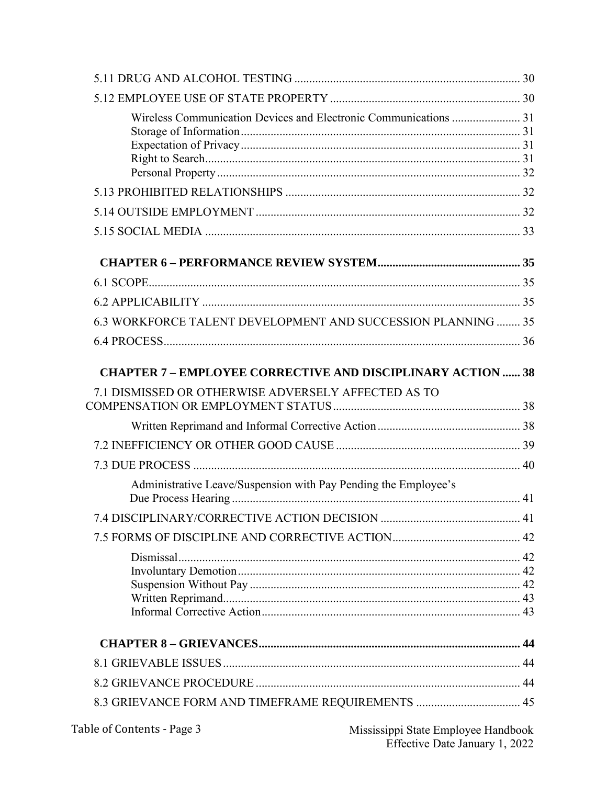| Wireless Communication Devices and Electronic Communications  31   |  |
|--------------------------------------------------------------------|--|
|                                                                    |  |
|                                                                    |  |
|                                                                    |  |
|                                                                    |  |
|                                                                    |  |
|                                                                    |  |
| 6.3 WORKFORCE TALENT DEVELOPMENT AND SUCCESSION PLANNING  35       |  |
|                                                                    |  |
| <b>CHAPTER 7 - EMPLOYEE CORRECTIVE AND DISCIPLINARY ACTION  38</b> |  |
| 7.1 DISMISSED OR OTHERWISE ADVERSELY AFFECTED AS TO                |  |
|                                                                    |  |
|                                                                    |  |
|                                                                    |  |
| Administrative Leave/Suspension with Pay Pending the Employee's    |  |
|                                                                    |  |
|                                                                    |  |
|                                                                    |  |
|                                                                    |  |
|                                                                    |  |
|                                                                    |  |
| 8.3 GRIEVANCE FORM AND TIMEFRAME REQUIREMENTS  45                  |  |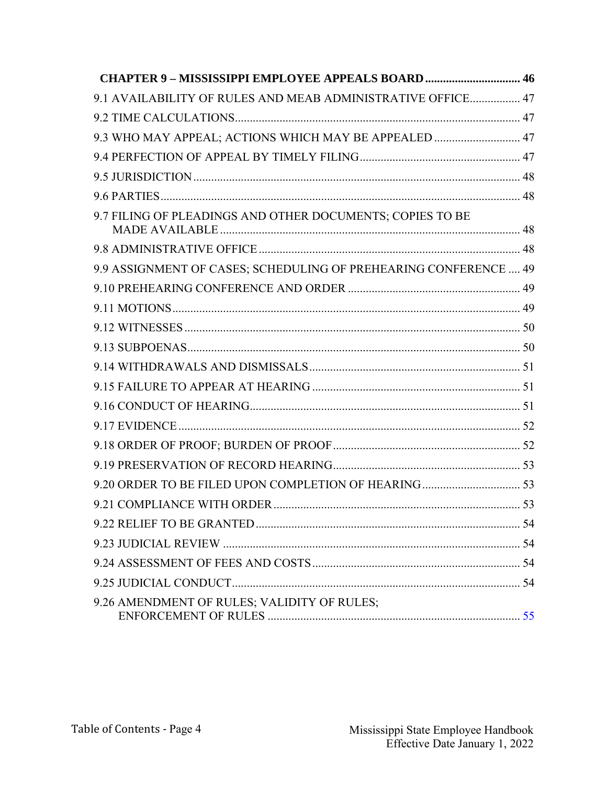| <b>CHAPTER 9 - MISSISSIPPI EMPLOYEE APPEALS BOARD 46</b>         |  |
|------------------------------------------------------------------|--|
| 9.1 AVAILABILITY OF RULES AND MEAB ADMINISTRATIVE OFFICE 47      |  |
|                                                                  |  |
| 9.3 WHO MAY APPEAL; ACTIONS WHICH MAY BE APPEALED  47            |  |
|                                                                  |  |
|                                                                  |  |
|                                                                  |  |
| 9.7 FILING OF PLEADINGS AND OTHER DOCUMENTS; COPIES TO BE        |  |
|                                                                  |  |
| 9.9 ASSIGNMENT OF CASES; SCHEDULING OF PREHEARING CONFERENCE  49 |  |
|                                                                  |  |
|                                                                  |  |
|                                                                  |  |
|                                                                  |  |
|                                                                  |  |
|                                                                  |  |
|                                                                  |  |
|                                                                  |  |
|                                                                  |  |
|                                                                  |  |
|                                                                  |  |
|                                                                  |  |
|                                                                  |  |
|                                                                  |  |
|                                                                  |  |
|                                                                  |  |
| 9.26 AMENDMENT OF RULES; VALIDITY OF RULES;                      |  |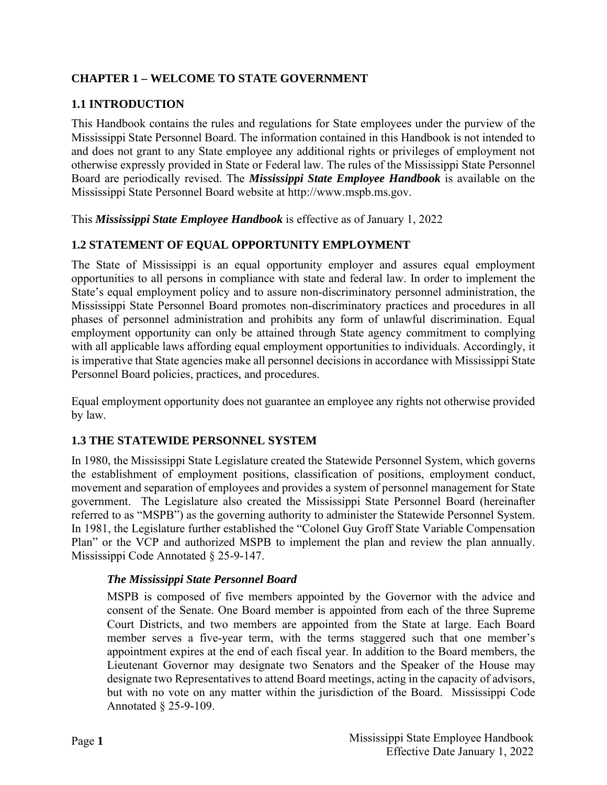# <span id="page-5-0"></span>**CHAPTER 1 – WELCOME TO STATE GOVERNMENT**

# <span id="page-5-1"></span>**1.1 INTRODUCTION**

This Handbook contains the rules and regulations for State employees under the purview of the Mississippi State Personnel Board. The information contained in this Handbook is not intended to and does not grant to any State employee any additional rights or privileges of employment not otherwise expressly provided in State or Federal law. The rules of the Mississippi State Personnel Board are periodically revised. The *Mississippi State Employee Handbook* is available on the Mississippi State Personnel Board website at http://www.mspb.ms.gov.

This *Mississippi State Employee Handbook* is effective as of January 1, 2022

# <span id="page-5-2"></span>**1.2 STATEMENT OF EQUAL OPPORTUNITY EMPLOYMENT**

The State of Mississippi is an equal opportunity employer and assures equal employment opportunities to all persons in compliance with state and federal law. In order to implement the State's equal employment policy and to assure non-discriminatory personnel administration, the Mississippi State Personnel Board promotes non-discriminatory practices and procedures in all phases of personnel administration and prohibits any form of unlawful discrimination. Equal employment opportunity can only be attained through State agency commitment to complying with all applicable laws affording equal employment opportunities to individuals. Accordingly, it is imperative that State agencies make all personnel decisions in accordance with Mississippi State Personnel Board policies, practices, and procedures.

Equal employment opportunity does not guarantee an employee any rights not otherwise provided by law.

#### <span id="page-5-3"></span>**1.3 THE STATEWIDE PERSONNEL SYSTEM**

In 1980, the Mississippi State Legislature created the Statewide Personnel System, which governs the establishment of employment positions, classification of positions, employment conduct, movement and separation of employees and provides a system of personnel management for State government. The Legislature also created the Mississippi State Personnel Board (hereinafter referred to as "MSPB") as the governing authority to administer the Statewide Personnel System. In 1981, the Legislature further established the "Colonel Guy Groff State Variable Compensation Plan" or the VCP and authorized MSPB to implement the plan and review the plan annually. Mississippi Code Annotated § 25-9-147.

#### <span id="page-5-4"></span>*The Mississippi State Personnel Board*

MSPB is composed of five members appointed by the Governor with the advice and consent of the Senate. One Board member is appointed from each of the three Supreme Court Districts, and two members are appointed from the State at large. Each Board member serves a five-year term, with the terms staggered such that one member's appointment expires at the end of each fiscal year. In addition to the Board members, the Lieutenant Governor may designate two Senators and the Speaker of the House may designate two Representatives to attend Board meetings, acting in the capacity of advisors, but with no vote on any matter within the jurisdiction of the Board. Mississippi Code Annotated § 25-9-109.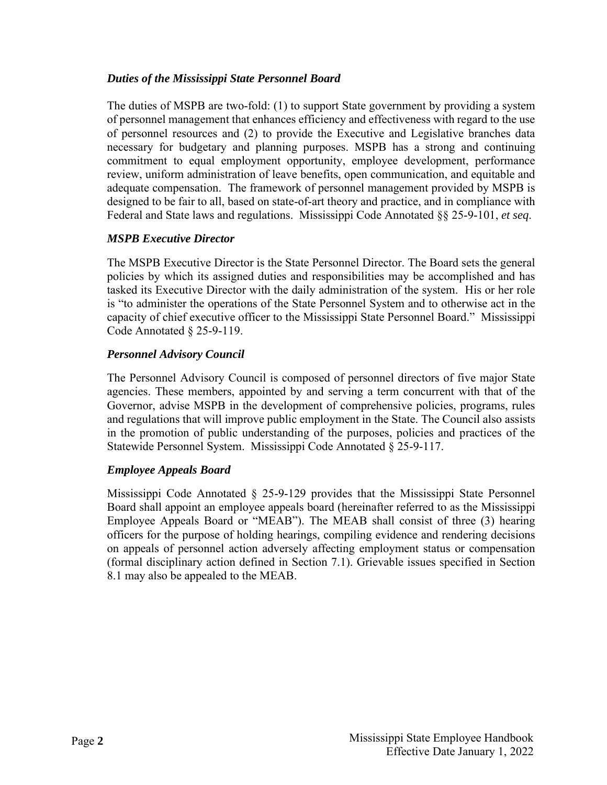#### <span id="page-6-0"></span>*Duties of the Mississippi State Personnel Board*

The duties of MSPB are two-fold: (1) to support State government by providing a system of personnel management that enhances efficiency and effectiveness with regard to the use of personnel resources and (2) to provide the Executive and Legislative branches data necessary for budgetary and planning purposes. MSPB has a strong and continuing commitment to equal employment opportunity, employee development, performance review, uniform administration of leave benefits, open communication, and equitable and adequate compensation. The framework of personnel management provided by MSPB is designed to be fair to all, based on state-of-art theory and practice, and in compliance with Federal and State laws and regulations. Mississippi Code Annotated §§ 25-9-101, *et seq*.

# <span id="page-6-1"></span>*MSPB Executive Director*

The MSPB Executive Director is the State Personnel Director. The Board sets the general policies by which its assigned duties and responsibilities may be accomplished and has tasked its Executive Director with the daily administration of the system. His or her role is "to administer the operations of the State Personnel System and to otherwise act in the capacity of chief executive officer to the Mississippi State Personnel Board." Mississippi Code Annotated § 25-9-119.

# <span id="page-6-2"></span>*Personnel Advisory Council*

The Personnel Advisory Council is composed of personnel directors of five major State agencies. These members, appointed by and serving a term concurrent with that of the Governor, advise MSPB in the development of comprehensive policies, programs, rules and regulations that will improve public employment in the State. The Council also assists in the promotion of public understanding of the purposes, policies and practices of the Statewide Personnel System. Mississippi Code Annotated § 25-9-117.

# <span id="page-6-3"></span>*Employee Appeals Board*

Mississippi Code Annotated § 25-9-129 provides that the Mississippi State Personnel Board shall appoint an employee appeals board (hereinafter referred to as the Mississippi Employee Appeals Board or "MEAB"). The MEAB shall consist of three (3) hearing officers for the purpose of holding hearings, compiling evidence and rendering decisions on appeals of personnel action adversely affecting employment status or compensation (formal disciplinary action defined in Section 7.1). Grievable issues specified in Section 8.1 may also be appealed to the MEAB.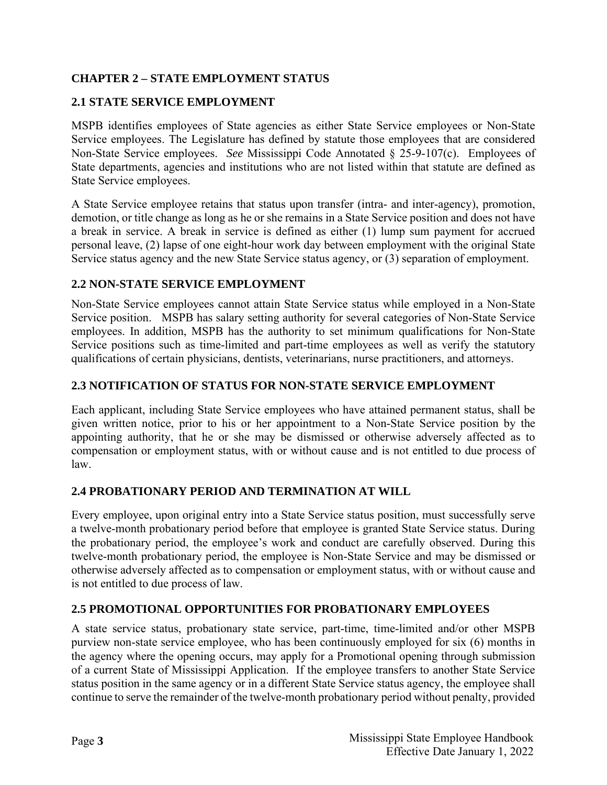# <span id="page-7-0"></span>**CHAPTER 2 – STATE EMPLOYMENT STATUS**

# <span id="page-7-1"></span>**2.1 STATE SERVICE EMPLOYMENT**

MSPB identifies employees of State agencies as either State Service employees or Non-State Service employees. The Legislature has defined by statute those employees that are considered Non-State Service employees. *See* Mississippi Code Annotated § 25-9-107(c). Employees of State departments, agencies and institutions who are not listed within that statute are defined as State Service employees.

A State Service employee retains that status upon transfer (intra- and inter-agency), promotion, demotion, or title change as long as he or she remains in a State Service position and does not have a break in service. A break in service is defined as either (1) lump sum payment for accrued personal leave, (2) lapse of one eight-hour work day between employment with the original State Service status agency and the new State Service status agency, or (3) separation of employment.

#### <span id="page-7-2"></span>**2.2 NON-STATE SERVICE EMPLOYMENT**

Non-State Service employees cannot attain State Service status while employed in a Non-State Service position. MSPB has salary setting authority for several categories of Non-State Service employees. In addition, MSPB has the authority to set minimum qualifications for Non-State Service positions such as time-limited and part-time employees as well as verify the statutory qualifications of certain physicians, dentists, veterinarians, nurse practitioners, and attorneys.

# <span id="page-7-3"></span>**2.3 NOTIFICATION OF STATUS FOR NON-STATE SERVICE EMPLOYMENT**

Each applicant, including State Service employees who have attained permanent status, shall be given written notice, prior to his or her appointment to a Non-State Service position by the appointing authority, that he or she may be dismissed or otherwise adversely affected as to compensation or employment status, with or without cause and is not entitled to due process of law.

#### <span id="page-7-4"></span>**2.4 PROBATIONARY PERIOD AND TERMINATION AT WILL**

Every employee, upon original entry into a State Service status position, must successfully serve a twelve-month probationary period before that employee is granted State Service status. During the probationary period, the employee's work and conduct are carefully observed. During this twelve-month probationary period, the employee is Non-State Service and may be dismissed or otherwise adversely affected as to compensation or employment status, with or without cause and is not entitled to due process of law.

#### <span id="page-7-5"></span>**2.5 PROMOTIONAL OPPORTUNITIES FOR PROBATIONARY EMPLOYEES**

A state service status, probationary state service, part-time, time-limited and/or other MSPB purview non-state service employee, who has been continuously employed for six (6) months in the agency where the opening occurs, may apply for a Promotional opening through submission of a current State of Mississippi Application. If the employee transfers to another State Service status position in the same agency or in a different State Service status agency, the employee shall continue to serve the remainder of the twelve-month probationary period without penalty, provided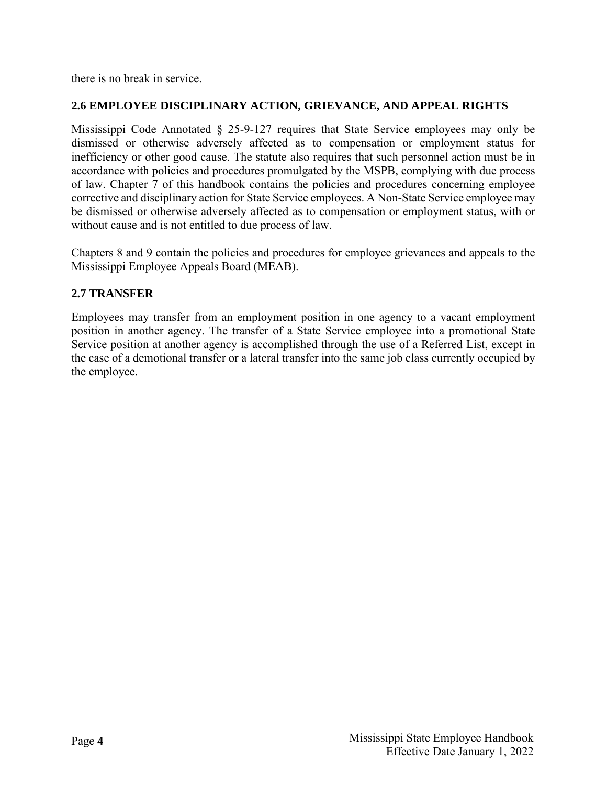there is no break in service.

# <span id="page-8-0"></span>**2.6 EMPLOYEE DISCIPLINARY ACTION, GRIEVANCE, AND APPEAL RIGHTS**

Mississippi Code Annotated § 25-9-127 requires that State Service employees may only be dismissed or otherwise adversely affected as to compensation or employment status for inefficiency or other good cause. The statute also requires that such personnel action must be in accordance with policies and procedures promulgated by the MSPB, complying with due process of law. Chapter 7 of this handbook contains the policies and procedures concerning employee corrective and disciplinary action for State Service employees. A Non-State Service employee may be dismissed or otherwise adversely affected as to compensation or employment status, with or without cause and is not entitled to due process of law.

Chapters 8 and 9 contain the policies and procedures for employee grievances and appeals to the Mississippi Employee Appeals Board (MEAB).

#### <span id="page-8-1"></span>**2.7 TRANSFER**

Employees may transfer from an employment position in one agency to a vacant employment position in another agency. The transfer of a State Service employee into a promotional State Service position at another agency is accomplished through the use of a Referred List, except in the case of a demotional transfer or a lateral transfer into the same job class currently occupied by the employee.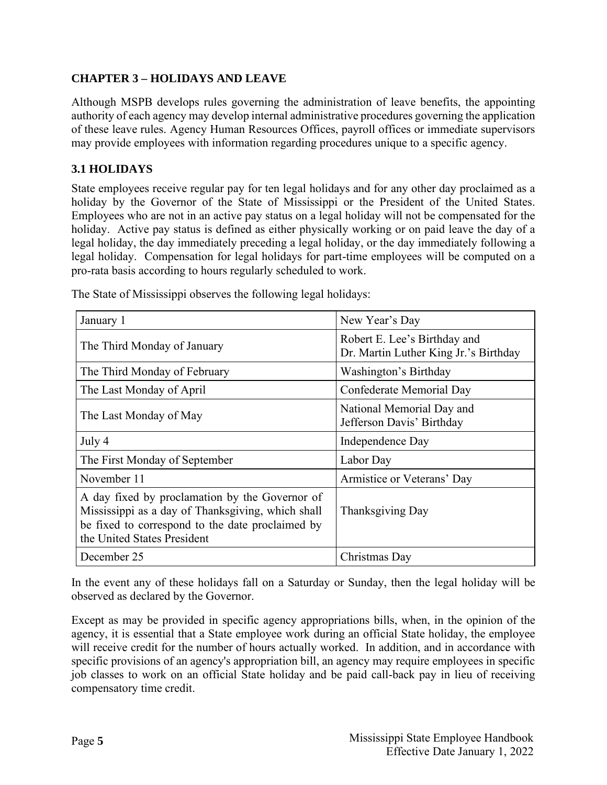# <span id="page-9-0"></span>**CHAPTER 3 – HOLIDAYS AND LEAVE**

Although MSPB develops rules governing the administration of leave benefits, the appointing authority of each agency may develop internal administrative procedures governing the application of these leave rules. Agency Human Resources Offices, payroll offices or immediate supervisors may provide employees with information regarding procedures unique to a specific agency.

# <span id="page-9-1"></span>**3.1 HOLIDAYS**

State employees receive regular pay for ten legal holidays and for any other day proclaimed as a holiday by the Governor of the State of Mississippi or the President of the United States. Employees who are not in an active pay status on a legal holiday will not be compensated for the holiday. Active pay status is defined as either physically working or on paid leave the day of a legal holiday, the day immediately preceding a legal holiday, or the day immediately following a legal holiday. Compensation for legal holidays for part-time employees will be computed on a pro-rata basis according to hours regularly scheduled to work.

| January 1                                                                                                                                                                              | New Year's Day                                                        |
|----------------------------------------------------------------------------------------------------------------------------------------------------------------------------------------|-----------------------------------------------------------------------|
| The Third Monday of January                                                                                                                                                            | Robert E. Lee's Birthday and<br>Dr. Martin Luther King Jr.'s Birthday |
| The Third Monday of February                                                                                                                                                           | Washington's Birthday                                                 |
| The Last Monday of April                                                                                                                                                               | Confederate Memorial Day                                              |
| The Last Monday of May                                                                                                                                                                 | National Memorial Day and<br>Jefferson Davis' Birthday                |
| July 4                                                                                                                                                                                 | Independence Day                                                      |
| The First Monday of September                                                                                                                                                          | Labor Day                                                             |
| November 11                                                                                                                                                                            | Armistice or Veterans' Day                                            |
| A day fixed by proclamation by the Governor of<br>Mississippi as a day of Thanksgiving, which shall<br>be fixed to correspond to the date proclaimed by<br>the United States President | Thanksgiving Day                                                      |
| December 25                                                                                                                                                                            | Christmas Day                                                         |

The State of Mississippi observes the following legal holidays:

In the event any of these holidays fall on a Saturday or Sunday, then the legal holiday will be observed as declared by the Governor.

Except as may be provided in specific agency appropriations bills, when, in the opinion of the agency, it is essential that a State employee work during an official State holiday, the employee will receive credit for the number of hours actually worked. In addition, and in accordance with specific provisions of an agency's appropriation bill, an agency may require employees in specific job classes to work on an official State holiday and be paid call-back pay in lieu of receiving compensatory time credit.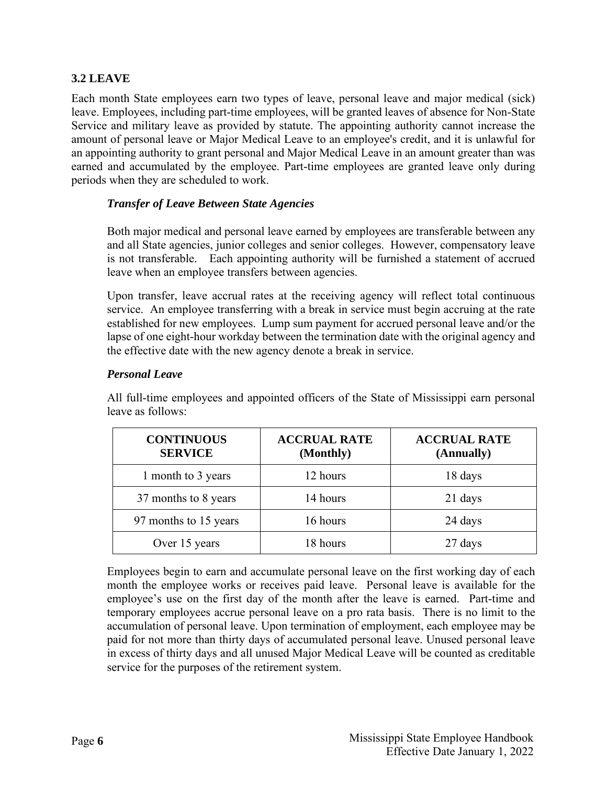# <span id="page-10-0"></span>**3.2 LEAVE**

Each month State employees earn two types of leave, personal leave and major medical (sick) leave. Employees, including part-time employees, will be granted leaves of absence for Non-State Service and military leave as provided by statute. The appointing authority cannot increase the amount of personal leave or Major Medical Leave to an employee's credit, and it is unlawful for an appointing authority to grant personal and Major Medical Leave in an amount greater than was earned and accumulated by the employee. Part-time employees are granted leave only during periods when they are scheduled to work.

#### <span id="page-10-1"></span>*Transfer of Leave Between State Agencies*

Both major medical and personal leave earned by employees are transferable between any and all State agencies, junior colleges and senior colleges. However, compensatory leave is not transferable. Each appointing authority will be furnished a statement of accrued leave when an employee transfers between agencies.

Upon transfer, leave accrual rates at the receiving agency will reflect total continuous service. An employee transferring with a break in service must begin accruing at the rate established for new employees. Lump sum payment for accrued personal leave and/or the lapse of one eight-hour workday between the termination date with the original agency and the effective date with the new agency denote a break in service.

#### <span id="page-10-2"></span>*Personal Leave*

All full-time employees and appointed officers of the State of Mississippi earn personal leave as follows:

| <b>CONTINUOUS</b><br><b>SERVICE</b> | <b>ACCRUAL RATE</b><br>(Monthly) | <b>ACCRUAL RATE</b><br>(Annually) |
|-------------------------------------|----------------------------------|-----------------------------------|
| 1 month to 3 years                  | 12 hours                         | 18 days                           |
| 37 months to 8 years                | 14 hours                         | 21 days                           |
| 97 months to 15 years               | 16 hours                         | 24 days                           |
| Over 15 years                       | 18 hours                         | 27 days                           |

Employees begin to earn and accumulate personal leave on the first working day of each month the employee works or receives paid leave. Personal leave is available for the employee's use on the first day of the month after the leave is earned. Part-time and temporary employees accrue personal leave on a pro rata basis. There is no limit to the accumulation of personal leave. Upon termination of employment, each employee may be paid for not more than thirty days of accumulated personal leave. Unused personal leave in excess of thirty days and all unused Major Medical Leave will be counted as creditable service for the purposes of the retirement system.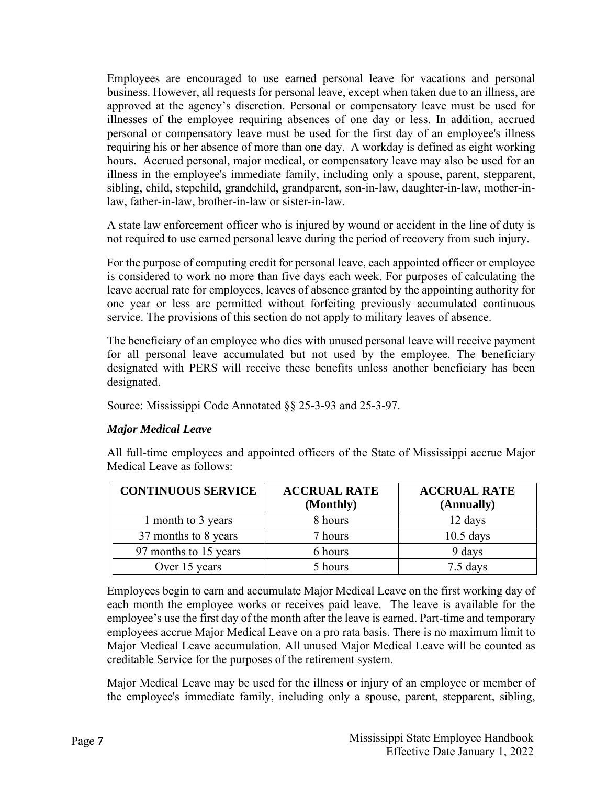Employees are encouraged to use earned personal leave for vacations and personal business. However, all requests for personal leave, except when taken due to an illness, are approved at the agency's discretion. Personal or compensatory leave must be used for illnesses of the employee requiring absences of one day or less. In addition, accrued personal or compensatory leave must be used for the first day of an employee's illness requiring his or her absence of more than one day. A workday is defined as eight working hours. Accrued personal, major medical, or compensatory leave may also be used for an illness in the employee's immediate family, including only a spouse, parent, stepparent, sibling, child, stepchild, grandchild, grandparent, son-in-law, daughter-in-law, mother-inlaw, father-in-law, brother-in-law or sister-in-law.

A state law enforcement officer who is injured by wound or accident in the line of duty is not required to use earned personal leave during the period of recovery from such injury.

For the purpose of computing credit for personal leave, each appointed officer or employee is considered to work no more than five days each week. For purposes of calculating the leave accrual rate for employees, leaves of absence granted by the appointing authority for one year or less are permitted without forfeiting previously accumulated continuous service. The provisions of this section do not apply to military leaves of absence.

The beneficiary of an employee who dies with unused personal leave will receive payment for all personal leave accumulated but not used by the employee. The beneficiary designated with PERS will receive these benefits unless another beneficiary has been designated.

Source: Mississippi Code Annotated §§ 25-3-93 and 25-3-97.

#### <span id="page-11-0"></span>*Major Medical Leave*

All full-time employees and appointed officers of the State of Mississippi accrue Major Medical Leave as follows:

| <b>CONTINUOUS SERVICE</b> | <b>ACCRUAL RATE</b><br>(Monthly) | <b>ACCRUAL RATE</b><br>(Annually) |
|---------------------------|----------------------------------|-----------------------------------|
| 1 month to 3 years        | 8 hours                          | 12 days                           |
| 37 months to 8 years      | 7 hours                          | $10.5$ days                       |
| 97 months to 15 years     | 6 hours                          | 9 days                            |
| Over 15 years             | 5 hours                          | 7.5 days                          |

Employees begin to earn and accumulate Major Medical Leave on the first working day of each month the employee works or receives paid leave. The leave is available for the employee's use the first day of the month after the leave is earned. Part-time and temporary employees accrue Major Medical Leave on a pro rata basis. There is no maximum limit to Major Medical Leave accumulation. All unused Major Medical Leave will be counted as creditable Service for the purposes of the retirement system.

Major Medical Leave may be used for the illness or injury of an employee or member of the employee's immediate family, including only a spouse, parent, stepparent, sibling,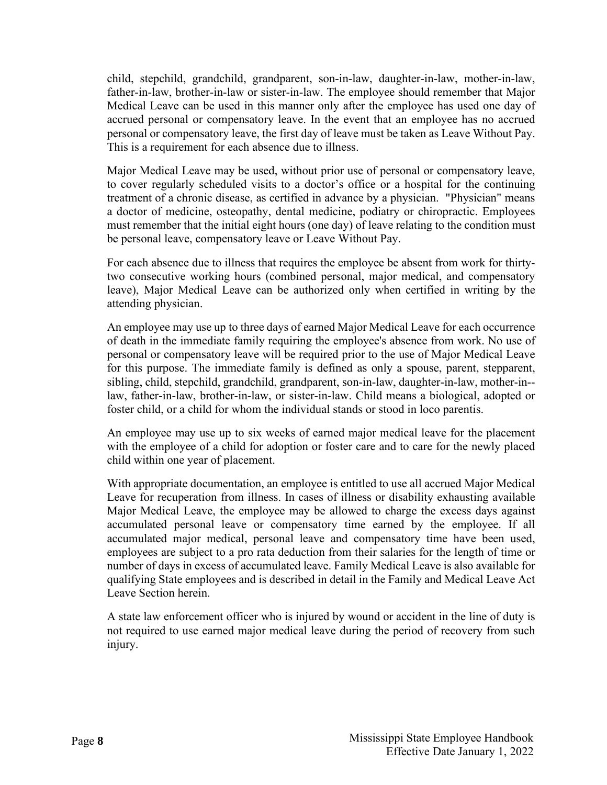child, stepchild, grandchild, grandparent, son-in-law, daughter-in-law, mother-in-law, father-in-law, brother-in-law or sister-in-law. The employee should remember that Major Medical Leave can be used in this manner only after the employee has used one day of accrued personal or compensatory leave. In the event that an employee has no accrued personal or compensatory leave, the first day of leave must be taken as Leave Without Pay. This is a requirement for each absence due to illness.

Major Medical Leave may be used, without prior use of personal or compensatory leave, to cover regularly scheduled visits to a doctor's office or a hospital for the continuing treatment of a chronic disease, as certified in advance by a physician. "Physician" means a doctor of medicine, osteopathy, dental medicine, podiatry or chiropractic. Employees must remember that the initial eight hours (one day) of leave relating to the condition must be personal leave, compensatory leave or Leave Without Pay.

For each absence due to illness that requires the employee be absent from work for thirtytwo consecutive working hours (combined personal, major medical, and compensatory leave), Major Medical Leave can be authorized only when certified in writing by the attending physician.

An employee may use up to three days of earned Major Medical Leave for each occurrence of death in the immediate family requiring the employee's absence from work. No use of personal or compensatory leave will be required prior to the use of Major Medical Leave for this purpose. The immediate family is defined as only a spouse, parent, stepparent, sibling, child, stepchild, grandchild, grandparent, son-in-law, daughter-in-law, mother-in- law, father-in-law, brother-in-law, or sister-in-law. Child means a biological, adopted or foster child, or a child for whom the individual stands or stood in loco parentis.

An employee may use up to six weeks of earned major medical leave for the placement with the employee of a child for adoption or foster care and to care for the newly placed child within one year of placement.

With appropriate documentation, an employee is entitled to use all accrued Major Medical Leave for recuperation from illness. In cases of illness or disability exhausting available Major Medical Leave, the employee may be allowed to charge the excess days against accumulated personal leave or compensatory time earned by the employee. If all accumulated major medical, personal leave and compensatory time have been used, employees are subject to a pro rata deduction from their salaries for the length of time or number of days in excess of accumulated leave. Family Medical Leave is also available for qualifying State employees and is described in detail in the Family and Medical Leave Act Leave Section herein.

A state law enforcement officer who is injured by wound or accident in the line of duty is not required to use earned major medical leave during the period of recovery from such injury.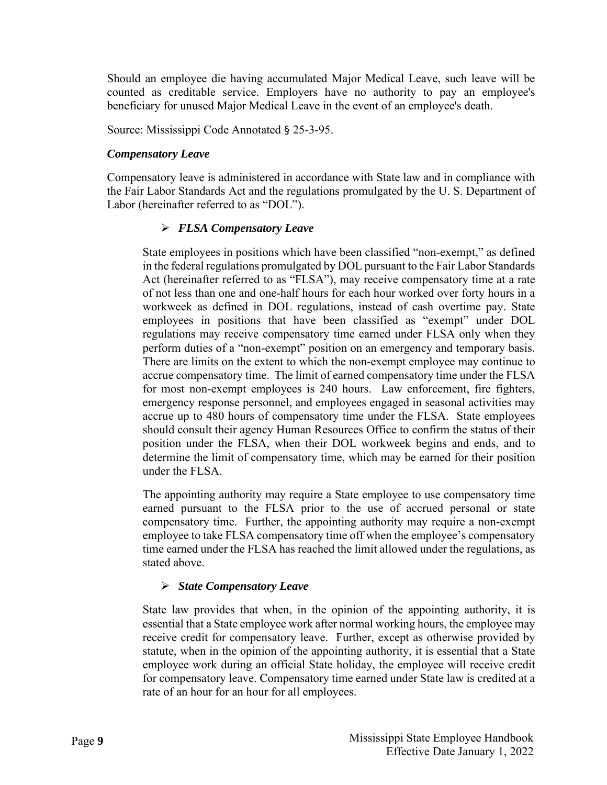Should an employee die having accumulated Major Medical Leave, such leave will be counted as creditable service. Employers have no authority to pay an employee's beneficiary for unused Major Medical Leave in the event of an employee's death.

Source: Mississippi Code Annotated § 25-3-95.

#### <span id="page-13-0"></span>*Compensatory Leave*

Compensatory leave is administered in accordance with State law and in compliance with the Fair Labor Standards Act and the regulations promulgated by the U. S. Department of Labor (hereinafter referred to as "DOL").

#### *FLSA Compensatory Leave*

State employees in positions which have been classified "non-exempt," as defined in the federal regulations promulgated by DOL pursuant to the Fair Labor Standards Act (hereinafter referred to as "FLSA"), may receive compensatory time at a rate of not less than one and one-half hours for each hour worked over forty hours in a workweek as defined in DOL regulations, instead of cash overtime pay. State employees in positions that have been classified as "exempt" under DOL regulations may receive compensatory time earned under FLSA only when they perform duties of a "non-exempt" position on an emergency and temporary basis. There are limits on the extent to which the non-exempt employee may continue to accrue compensatory time. The limit of earned compensatory time under the FLSA for most non-exempt employees is 240 hours. Law enforcement, fire fighters, emergency response personnel, and employees engaged in seasonal activities may accrue up to 480 hours of compensatory time under the FLSA. State employees should consult their agency Human Resources Office to confirm the status of their position under the FLSA, when their DOL workweek begins and ends, and to determine the limit of compensatory time, which may be earned for their position under the FLSA.

The appointing authority may require a State employee to use compensatory time earned pursuant to the FLSA prior to the use of accrued personal or state compensatory time. Further, the appointing authority may require a non-exempt employee to take FLSA compensatory time off when the employee's compensatory time earned under the FLSA has reached the limit allowed under the regulations, as stated above.

#### *State Compensatory Leave*

State law provides that when, in the opinion of the appointing authority, it is essential that a State employee work after normal working hours, the employee may receive credit for compensatory leave. Further, except as otherwise provided by statute, when in the opinion of the appointing authority, it is essential that a State employee work during an official State holiday, the employee will receive credit for compensatory leave. Compensatory time earned under State law is credited at a rate of an hour for an hour for all employees.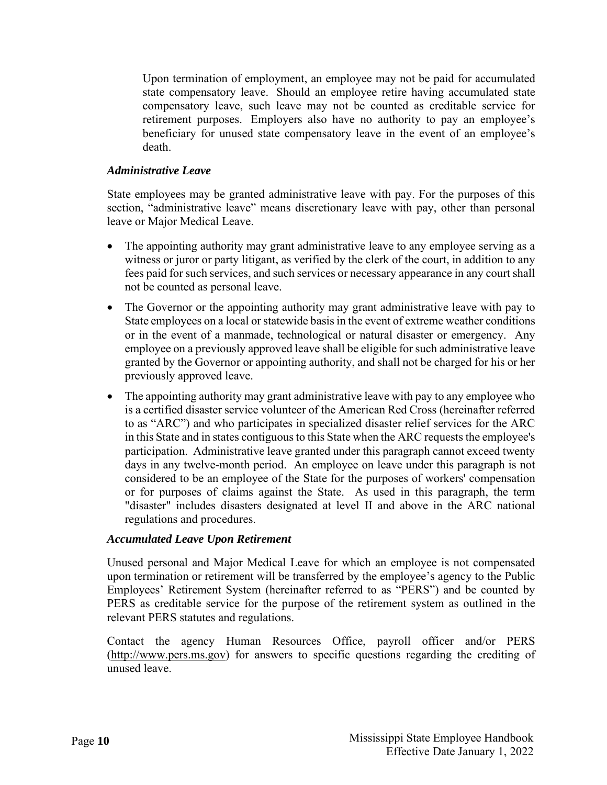Upon termination of employment, an employee may not be paid for accumulated state compensatory leave. Should an employee retire having accumulated state compensatory leave, such leave may not be counted as creditable service for retirement purposes. Employers also have no authority to pay an employee's beneficiary for unused state compensatory leave in the event of an employee's death.

#### <span id="page-14-0"></span>*Administrative Leave*

State employees may be granted administrative leave with pay. For the purposes of this section, "administrative leave" means discretionary leave with pay, other than personal leave or Major Medical Leave.

- The appointing authority may grant administrative leave to any employee serving as a witness or juror or party litigant, as verified by the clerk of the court, in addition to any fees paid for such services, and such services or necessary appearance in any court shall not be counted as personal leave.
- The Governor or the appointing authority may grant administrative leave with pay to State employees on a local or statewide basis in the event of extreme weather conditions or in the event of a manmade, technological or natural disaster or emergency. Any employee on a previously approved leave shall be eligible for such administrative leave granted by the Governor or appointing authority, and shall not be charged for his or her previously approved leave.
- The appointing authority may grant administrative leave with pay to any employee who is a certified disaster service volunteer of the American Red Cross (hereinafter referred to as "ARC") and who participates in specialized disaster relief services for the ARC in this State and in states contiguous to this State when the ARC requests the employee's participation. Administrative leave granted under this paragraph cannot exceed twenty days in any twelve-month period. An employee on leave under this paragraph is not considered to be an employee of the State for the purposes of workers' compensation or for purposes of claims against the State. As used in this paragraph, the term "disaster" includes disasters designated at level II and above in the ARC national regulations and procedures.

#### <span id="page-14-1"></span>*Accumulated Leave Upon Retirement*

Unused personal and Major Medical Leave for which an employee is not compensated upon termination or retirement will be transferred by the employee's agency to the Public Employees' Retirement System (hereinafter referred to as "PERS") and be counted by PERS as creditable service for the purpose of the retirement system as outlined in the relevant PERS statutes and regulations.

Contact the agency Human Resources Office, payroll officer and/or PERS [\(http://www.pers.ms.gov\)](http://www.pers.ms.gov/) for answers to specific questions regarding the crediting of unused leave.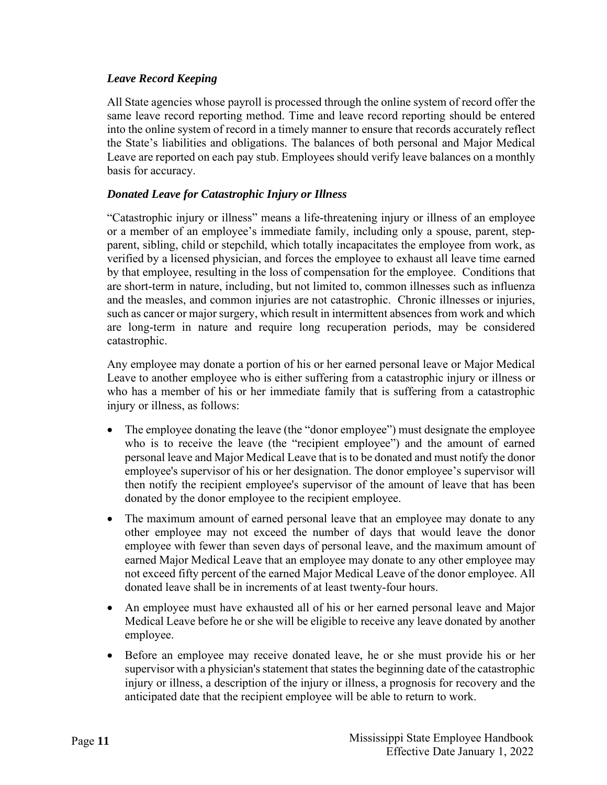# <span id="page-15-0"></span>*Leave Record Keeping*

All State agencies whose payroll is processed through the online system of record offer the same leave record reporting method. Time and leave record reporting should be entered into the online system of record in a timely manner to ensure that records accurately reflect the State's liabilities and obligations. The balances of both personal and Major Medical Leave are reported on each pay stub. Employees should verify leave balances on a monthly basis for accuracy.

# <span id="page-15-1"></span>*Donated Leave for Catastrophic Injury or Illness*

"Catastrophic injury or illness" means a life-threatening injury or illness of an employee or a member of an employee's immediate family, including only a spouse, parent, stepparent, sibling, child or stepchild, which totally incapacitates the employee from work, as verified by a licensed physician, and forces the employee to exhaust all leave time earned by that employee, resulting in the loss of compensation for the employee. Conditions that are short-term in nature, including, but not limited to, common illnesses such as influenza and the measles, and common injuries are not catastrophic. Chronic illnesses or injuries, such as cancer or major surgery, which result in intermittent absences from work and which are long-term in nature and require long recuperation periods, may be considered catastrophic.

Any employee may donate a portion of his or her earned personal leave or Major Medical Leave to another employee who is either suffering from a catastrophic injury or illness or who has a member of his or her immediate family that is suffering from a catastrophic injury or illness, as follows:

- The employee donating the leave (the "donor employee") must designate the employee who is to receive the leave (the "recipient employee") and the amount of earned personal leave and Major Medical Leave that is to be donated and must notify the donor employee's supervisor of his or her designation. The donor employee's supervisor will then notify the recipient employee's supervisor of the amount of leave that has been donated by the donor employee to the recipient employee.
- The maximum amount of earned personal leave that an employee may donate to any other employee may not exceed the number of days that would leave the donor employee with fewer than seven days of personal leave, and the maximum amount of earned Major Medical Leave that an employee may donate to any other employee may not exceed fifty percent of the earned Major Medical Leave of the donor employee. All donated leave shall be in increments of at least twenty-four hours.
- An employee must have exhausted all of his or her earned personal leave and Major Medical Leave before he or she will be eligible to receive any leave donated by another employee.
- Before an employee may receive donated leave, he or she must provide his or her supervisor with a physician's statement that states the beginning date of the catastrophic injury or illness, a description of the injury or illness, a prognosis for recovery and the anticipated date that the recipient employee will be able to return to work.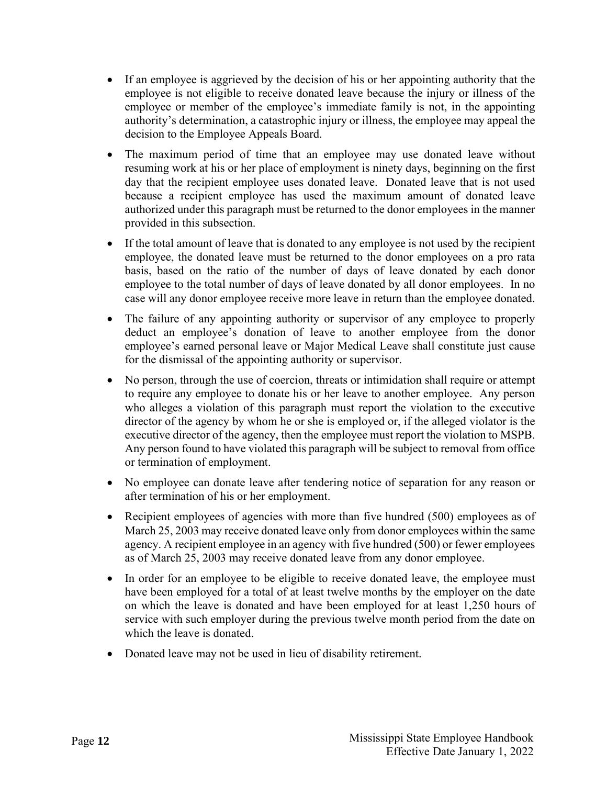- If an employee is aggrieved by the decision of his or her appointing authority that the employee is not eligible to receive donated leave because the injury or illness of the employee or member of the employee's immediate family is not, in the appointing authority's determination, a catastrophic injury or illness, the employee may appeal the decision to the Employee Appeals Board.
- The maximum period of time that an employee may use donated leave without resuming work at his or her place of employment is ninety days, beginning on the first day that the recipient employee uses donated leave. Donated leave that is not used because a recipient employee has used the maximum amount of donated leave authorized under this paragraph must be returned to the donor employees in the manner provided in this subsection.
- If the total amount of leave that is donated to any employee is not used by the recipient employee, the donated leave must be returned to the donor employees on a pro rata basis, based on the ratio of the number of days of leave donated by each donor employee to the total number of days of leave donated by all donor employees. In no case will any donor employee receive more leave in return than the employee donated.
- The failure of any appointing authority or supervisor of any employee to properly deduct an employee's donation of leave to another employee from the donor employee's earned personal leave or Major Medical Leave shall constitute just cause for the dismissal of the appointing authority or supervisor.
- No person, through the use of coercion, threats or intimidation shall require or attempt to require any employee to donate his or her leave to another employee. Any person who alleges a violation of this paragraph must report the violation to the executive director of the agency by whom he or she is employed or, if the alleged violator is the executive director of the agency, then the employee must report the violation to MSPB. Any person found to have violated this paragraph will be subject to removal from office or termination of employment.
- No employee can donate leave after tendering notice of separation for any reason or after termination of his or her employment.
- Recipient employees of agencies with more than five hundred (500) employees as of March 25, 2003 may receive donated leave only from donor employees within the same agency. A recipient employee in an agency with five hundred (500) or fewer employees as of March 25, 2003 may receive donated leave from any donor employee.
- In order for an employee to be eligible to receive donated leave, the employee must have been employed for a total of at least twelve months by the employer on the date on which the leave is donated and have been employed for at least 1,250 hours of service with such employer during the previous twelve month period from the date on which the leave is donated.
- Donated leave may not be used in lieu of disability retirement.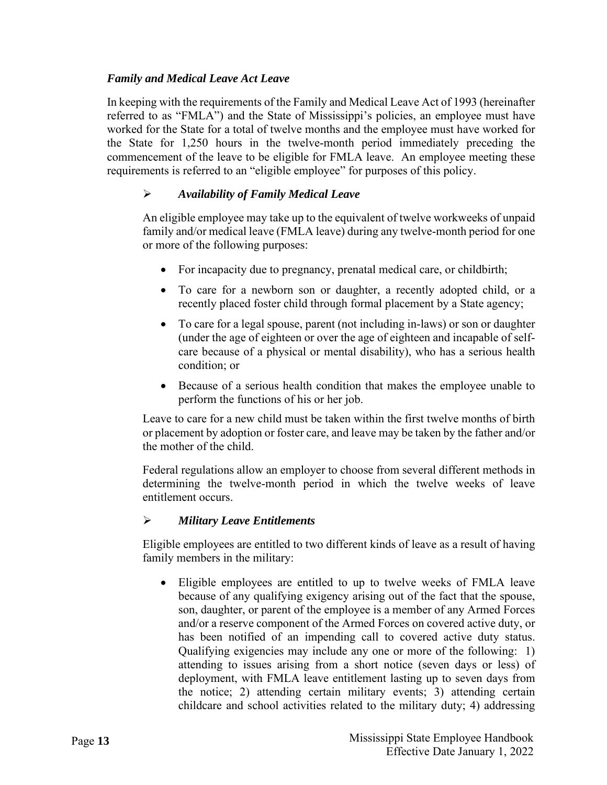# <span id="page-17-0"></span>*Family and Medical Leave Act Leave*

In keeping with the requirements of the Family and Medical Leave Act of 1993 (hereinafter referred to as "FMLA") and the State of Mississippi's policies, an employee must have worked for the State for a total of twelve months and the employee must have worked for the State for 1,250 hours in the twelve-month period immediately preceding the commencement of the leave to be eligible for FMLA leave. An employee meeting these requirements is referred to an "eligible employee" for purposes of this policy.

# *Availability of Family Medical Leave*

An eligible employee may take up to the equivalent of twelve workweeks of unpaid family and/or medical leave (FMLA leave) during any twelve-month period for one or more of the following purposes:

- For incapacity due to pregnancy, prenatal medical care, or childbirth;
- To care for a newborn son or daughter, a recently adopted child, or a recently placed foster child through formal placement by a State agency;
- To care for a legal spouse, parent (not including in-laws) or son or daughter (under the age of eighteen or over the age of eighteen and incapable of selfcare because of a physical or mental disability), who has a serious health condition; or
- Because of a serious health condition that makes the employee unable to perform the functions of his or her job.

Leave to care for a new child must be taken within the first twelve months of birth or placement by adoption or foster care, and leave may be taken by the father and/or the mother of the child.

Federal regulations allow an employer to choose from several different methods in determining the twelve-month period in which the twelve weeks of leave entitlement occurs.

#### *Military Leave Entitlements*

Eligible employees are entitled to two different kinds of leave as a result of having family members in the military:

• Eligible employees are entitled to up to twelve weeks of FMLA leave because of any qualifying exigency arising out of the fact that the spouse, son, daughter, or parent of the employee is a member of any Armed Forces and/or a reserve component of the Armed Forces on covered active duty, or has been notified of an impending call to covered active duty status. Qualifying exigencies may include any one or more of the following: 1) attending to issues arising from a short notice (seven days or less) of deployment, with FMLA leave entitlement lasting up to seven days from the notice; 2) attending certain military events; 3) attending certain childcare and school activities related to the military duty; 4) addressing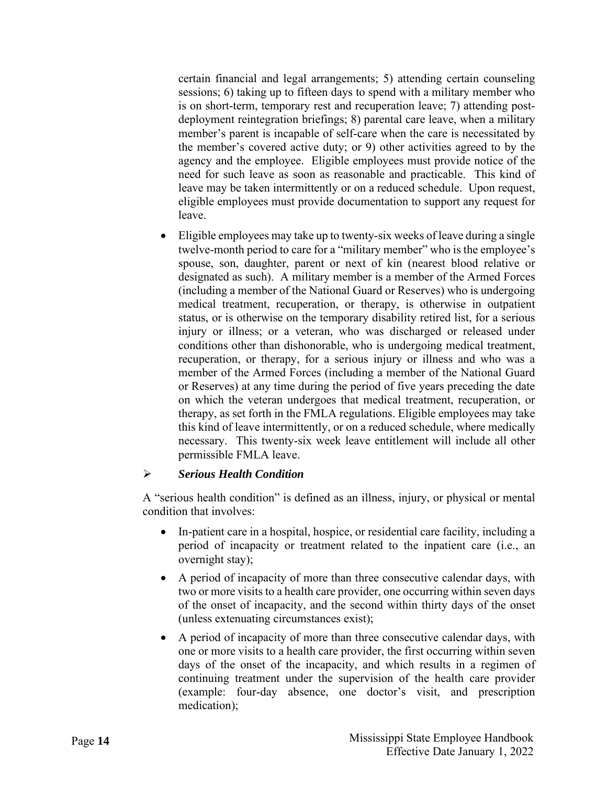certain financial and legal arrangements; 5) attending certain counseling sessions; 6) taking up to fifteen days to spend with a military member who is on short-term, temporary rest and recuperation leave; 7) attending postdeployment reintegration briefings; 8) parental care leave, when a military member's parent is incapable of self-care when the care is necessitated by the member's covered active duty; or 9) other activities agreed to by the agency and the employee. Eligible employees must provide notice of the need for such leave as soon as reasonable and practicable. This kind of leave may be taken intermittently or on a reduced schedule. Upon request, eligible employees must provide documentation to support any request for leave.

• Eligible employees may take up to twenty-six weeks of leave during a single twelve-month period to care for a "military member" who is the employee's spouse, son, daughter, parent or next of kin (nearest blood relative or designated as such). A military member is a member of the Armed Forces (including a member of the National Guard or Reserves) who is undergoing medical treatment, recuperation, or therapy, is otherwise in outpatient status, or is otherwise on the temporary disability retired list, for a serious injury or illness; or a veteran, who was discharged or released under conditions other than dishonorable, who is undergoing medical treatment, recuperation, or therapy, for a serious injury or illness and who was a member of the Armed Forces (including a member of the National Guard or Reserves) at any time during the period of five years preceding the date on which the veteran undergoes that medical treatment, recuperation, or therapy, as set forth in the FMLA regulations. Eligible employees may take this kind of leave intermittently, or on a reduced schedule, where medically necessary. This twenty-six week leave entitlement will include all other permissible FMLA leave.

#### *Serious Health Condition*

A "serious health condition" is defined as an illness, injury, or physical or mental condition that involves:

- In-patient care in a hospital, hospice, or residential care facility, including a period of incapacity or treatment related to the inpatient care (i.e., an overnight stay);
- A period of incapacity of more than three consecutive calendar days, with two or more visits to a health care provider, one occurring within seven days of the onset of incapacity, and the second within thirty days of the onset (unless extenuating circumstances exist);
- A period of incapacity of more than three consecutive calendar days, with one or more visits to a health care provider, the first occurring within seven days of the onset of the incapacity, and which results in a regimen of continuing treatment under the supervision of the health care provider (example: four-day absence, one doctor's visit, and prescription medication);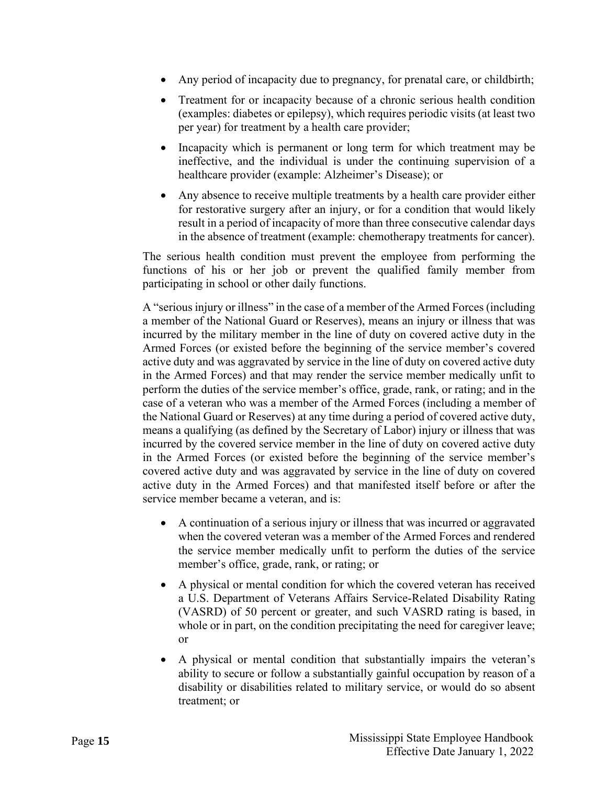- Any period of incapacity due to pregnancy, for prenatal care, or childbirth;
- Treatment for or incapacity because of a chronic serious health condition (examples: diabetes or epilepsy), which requires periodic visits (at least two per year) for treatment by a health care provider;
- Incapacity which is permanent or long term for which treatment may be ineffective, and the individual is under the continuing supervision of a healthcare provider (example: Alzheimer's Disease); or
- Any absence to receive multiple treatments by a health care provider either for restorative surgery after an injury, or for a condition that would likely result in a period of incapacity of more than three consecutive calendar days in the absence of treatment (example: chemotherapy treatments for cancer).

The serious health condition must prevent the employee from performing the functions of his or her job or prevent the qualified family member from participating in school or other daily functions.

A "serious injury or illness" in the case of a member of the Armed Forces (including a member of the National Guard or Reserves), means an injury or illness that was incurred by the military member in the line of duty on covered active duty in the Armed Forces (or existed before the beginning of the service member's covered active duty and was aggravated by service in the line of duty on covered active duty in the Armed Forces) and that may render the service member medically unfit to perform the duties of the service member's office, grade, rank, or rating; and in the case of a veteran who was a member of the Armed Forces (including a member of the National Guard or Reserves) at any time during a period of covered active duty, means a qualifying (as defined by the Secretary of Labor) injury or illness that was incurred by the covered service member in the line of duty on covered active duty in the Armed Forces (or existed before the beginning of the service member's covered active duty and was aggravated by service in the line of duty on covered active duty in the Armed Forces) and that manifested itself before or after the service member became a veteran, and is:

- A continuation of a serious injury or illness that was incurred or aggravated when the covered veteran was a member of the Armed Forces and rendered the service member medically unfit to perform the duties of the service member's office, grade, rank, or rating; or
- A physical or mental condition for which the covered veteran has received a U.S. Department of Veterans Affairs Service-Related Disability Rating (VASRD) of 50 percent or greater, and such VASRD rating is based, in whole or in part, on the condition precipitating the need for caregiver leave; or
- A physical or mental condition that substantially impairs the veteran's ability to secure or follow a substantially gainful occupation by reason of a disability or disabilities related to military service, or would do so absent treatment; or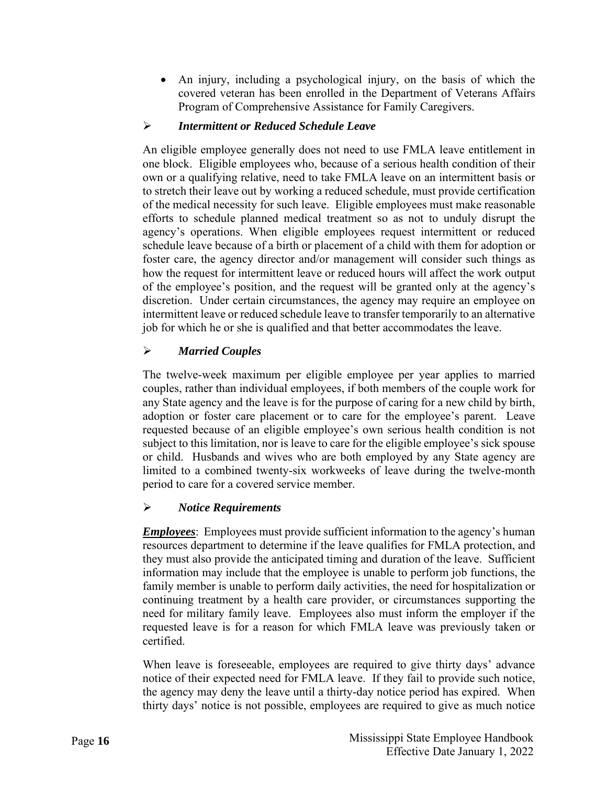• An injury, including a psychological injury, on the basis of which the covered veteran has been enrolled in the Department of Veterans Affairs Program of Comprehensive Assistance for Family Caregivers.

# *Intermittent or Reduced Schedule Leave*

An eligible employee generally does not need to use FMLA leave entitlement in one block. Eligible employees who, because of a serious health condition of their own or a qualifying relative, need to take FMLA leave on an intermittent basis or to stretch their leave out by working a reduced schedule, must provide certification of the medical necessity for such leave. Eligible employees must make reasonable efforts to schedule planned medical treatment so as not to unduly disrupt the agency's operations. When eligible employees request intermittent or reduced schedule leave because of a birth or placement of a child with them for adoption or foster care, the agency director and/or management will consider such things as how the request for intermittent leave or reduced hours will affect the work output of the employee's position, and the request will be granted only at the agency's discretion. Under certain circumstances, the agency may require an employee on intermittent leave or reduced schedule leave to transfer temporarily to an alternative job for which he or she is qualified and that better accommodates the leave.

# *Married Couples*

The twelve-week maximum per eligible employee per year applies to married couples, rather than individual employees, if both members of the couple work for any State agency and the leave is for the purpose of caring for a new child by birth, adoption or foster care placement or to care for the employee's parent. Leave requested because of an eligible employee's own serious health condition is not subject to this limitation, nor is leave to care for the eligible employee's sick spouse or child. Husbands and wives who are both employed by any State agency are limited to a combined twenty-six workweeks of leave during the twelve-month period to care for a covered service member.

# *Notice Requirements*

*Employees*: Employees must provide sufficient information to the agency's human resources department to determine if the leave qualifies for FMLA protection, and they must also provide the anticipated timing and duration of the leave. Sufficient information may include that the employee is unable to perform job functions, the family member is unable to perform daily activities, the need for hospitalization or continuing treatment by a health care provider, or circumstances supporting the need for military family leave. Employees also must inform the employer if the requested leave is for a reason for which FMLA leave was previously taken or certified.

When leave is foreseeable, employees are required to give thirty days' advance notice of their expected need for FMLA leave. If they fail to provide such notice, the agency may deny the leave until a thirty-day notice period has expired. When thirty days' notice is not possible, employees are required to give as much notice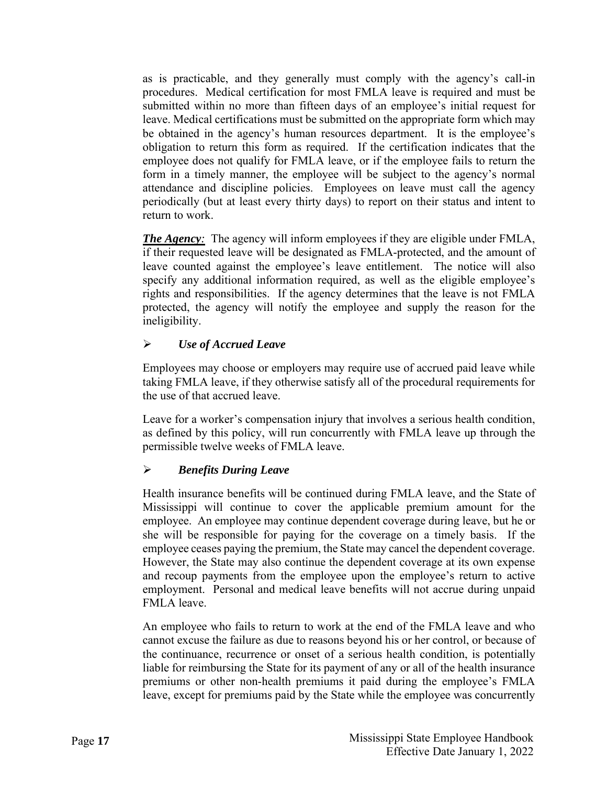as is practicable, and they generally must comply with the agency's call-in procedures. Medical certification for most FMLA leave is required and must be submitted within no more than fifteen days of an employee's initial request for leave. Medical certifications must be submitted on the appropriate form which may be obtained in the agency's human resources department. It is the employee's obligation to return this form as required. If the certification indicates that the employee does not qualify for FMLA leave, or if the employee fails to return the form in a timely manner, the employee will be subject to the agency's normal attendance and discipline policies. Employees on leave must call the agency periodically (but at least every thirty days) to report on their status and intent to return to work.

*The Agency:* The agency will inform employees if they are eligible under FMLA, if their requested leave will be designated as FMLA-protected, and the amount of leave counted against the employee's leave entitlement. The notice will also specify any additional information required, as well as the eligible employee's rights and responsibilities. If the agency determines that the leave is not FMLA protected, the agency will notify the employee and supply the reason for the ineligibility.

#### *Use of Accrued Leave*

Employees may choose or employers may require use of accrued paid leave while taking FMLA leave, if they otherwise satisfy all of the procedural requirements for the use of that accrued leave.

Leave for a worker's compensation injury that involves a serious health condition, as defined by this policy, will run concurrently with FMLA leave up through the permissible twelve weeks of FMLA leave.

# *Benefits During Leave*

Health insurance benefits will be continued during FMLA leave, and the State of Mississippi will continue to cover the applicable premium amount for the employee. An employee may continue dependent coverage during leave, but he or she will be responsible for paying for the coverage on a timely basis. If the employee ceases paying the premium, the State may cancel the dependent coverage. However, the State may also continue the dependent coverage at its own expense and recoup payments from the employee upon the employee's return to active employment. Personal and medical leave benefits will not accrue during unpaid FMLA leave.

An employee who fails to return to work at the end of the FMLA leave and who cannot excuse the failure as due to reasons beyond his or her control, or because of the continuance, recurrence or onset of a serious health condition, is potentially liable for reimbursing the State for its payment of any or all of the health insurance premiums or other non-health premiums it paid during the employee's FMLA leave, except for premiums paid by the State while the employee was concurrently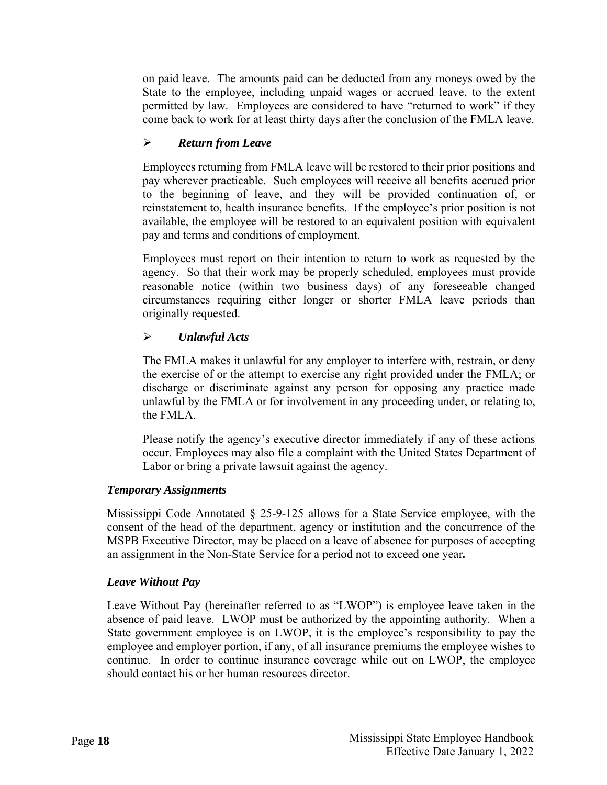on paid leave. The amounts paid can be deducted from any moneys owed by the State to the employee, including unpaid wages or accrued leave, to the extent permitted by law. Employees are considered to have "returned to work" if they come back to work for at least thirty days after the conclusion of the FMLA leave.

# *Return from Leave*

Employees returning from FMLA leave will be restored to their prior positions and pay wherever practicable. Such employees will receive all benefits accrued prior to the beginning of leave, and they will be provided continuation of, or reinstatement to, health insurance benefits. If the employee's prior position is not available, the employee will be restored to an equivalent position with equivalent pay and terms and conditions of employment.

Employees must report on their intention to return to work as requested by the agency. So that their work may be properly scheduled, employees must provide reasonable notice (within two business days) of any foreseeable changed circumstances requiring either longer or shorter FMLA leave periods than originally requested.

# *Unlawful Acts*

The FMLA makes it unlawful for any employer to interfere with, restrain, or deny the exercise of or the attempt to exercise any right provided under the FMLA; or discharge or discriminate against any person for opposing any practice made unlawful by the FMLA or for involvement in any proceeding under, or relating to, the FMLA.

Please notify the agency's executive director immediately if any of these actions occur. Employees may also file a complaint with the United States Department of Labor or bring a private lawsuit against the agency.

#### <span id="page-22-0"></span>*Temporary Assignments*

Mississippi Code Annotated  $\S$  25-9-125 allows for a State Service employee, with the consent of the head of the department, agency or institution and the concurrence of the MSPB Executive Director, may be placed on a leave of absence for purposes of accepting an assignment in the Non-State Service for a period not to exceed one year*.* 

#### <span id="page-22-1"></span>*Leave Without Pay*

Leave Without Pay (hereinafter referred to as "LWOP") is employee leave taken in the absence of paid leave. LWOP must be authorized by the appointing authority. When a State government employee is on LWOP, it is the employee's responsibility to pay the employee and employer portion, if any, of all insurance premiums the employee wishes to continue. In order to continue insurance coverage while out on LWOP, the employee should contact his or her human resources director.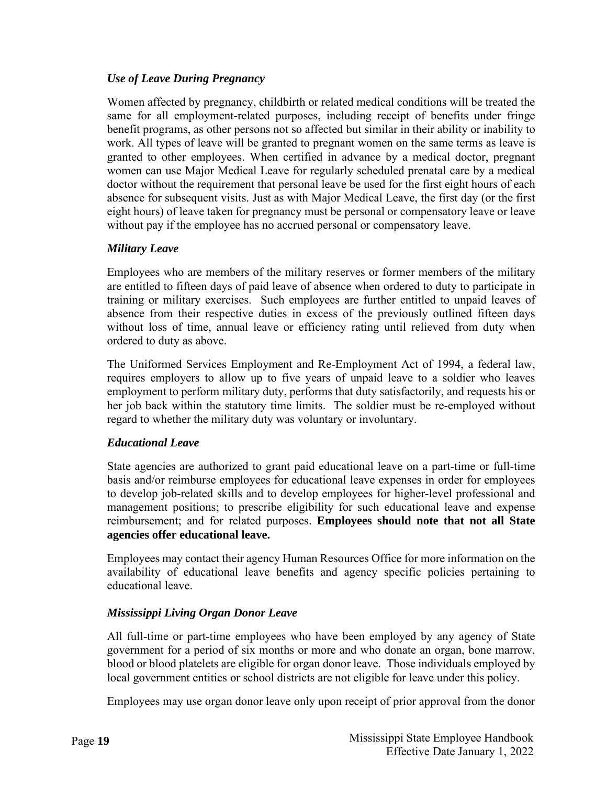# <span id="page-23-0"></span>*Use of Leave During Pregnancy*

Women affected by pregnancy, childbirth or related medical conditions will be treated the same for all employment-related purposes, including receipt of benefits under fringe benefit programs, as other persons not so affected but similar in their ability or inability to work. All types of leave will be granted to pregnant women on the same terms as leave is granted to other employees. When certified in advance by a medical doctor, pregnant women can use Major Medical Leave for regularly scheduled prenatal care by a medical doctor without the requirement that personal leave be used for the first eight hours of each absence for subsequent visits. Just as with Major Medical Leave, the first day (or the first eight hours) of leave taken for pregnancy must be personal or compensatory leave or leave without pay if the employee has no accrued personal or compensatory leave.

#### <span id="page-23-1"></span>*Military Leave*

Employees who are members of the military reserves or former members of the military are entitled to fifteen days of paid leave of absence when ordered to duty to participate in training or military exercises. Such employees are further entitled to unpaid leaves of absence from their respective duties in excess of the previously outlined fifteen days without loss of time, annual leave or efficiency rating until relieved from duty when ordered to duty as above.

The Uniformed Services Employment and Re-Employment Act of 1994, a federal law, requires employers to allow up to five years of unpaid leave to a soldier who leaves employment to perform military duty, performs that duty satisfactorily, and requests his or her job back within the statutory time limits. The soldier must be re-employed without regard to whether the military duty was voluntary or involuntary.

#### <span id="page-23-2"></span>*Educational Leave*

State agencies are authorized to grant paid educational leave on a part-time or full-time basis and/or reimburse employees for educational leave expenses in order for employees to develop job-related skills and to develop employees for higher-level professional and management positions; to prescribe eligibility for such educational leave and expense reimbursement; and for related purposes. **Employees should note that not all State agencies offer educational leave.**

Employees may contact their agency Human Resources Office for more information on the availability of educational leave benefits and agency specific policies pertaining to educational leave.

#### <span id="page-23-3"></span>*Mississippi Living Organ Donor Leave*

All full-time or part-time employees who have been employed by any agency of State government for a period of six months or more and who donate an organ, bone marrow, blood or blood platelets are eligible for organ donor leave. Those individuals employed by local government entities or school districts are not eligible for leave under this policy.

Employees may use organ donor leave only upon receipt of prior approval from the donor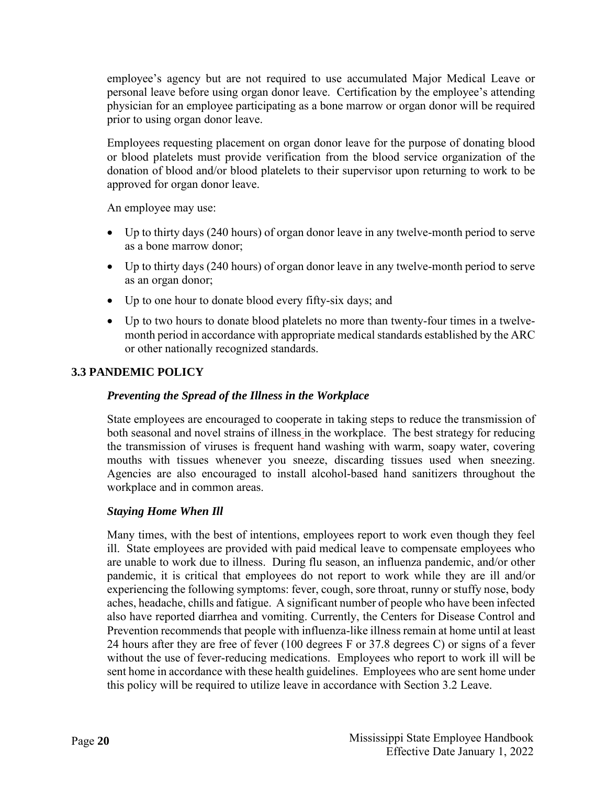employee's agency but are not required to use accumulated Major Medical Leave or personal leave before using organ donor leave. Certification by the employee's attending physician for an employee participating as a bone marrow or organ donor will be required prior to using organ donor leave.

Employees requesting placement on organ donor leave for the purpose of donating blood or blood platelets must provide verification from the blood service organization of the donation of blood and/or blood platelets to their supervisor upon returning to work to be approved for organ donor leave.

An employee may use:

- Up to thirty days (240 hours) of organ donor leave in any twelve-month period to serve as a bone marrow donor;
- Up to thirty days (240 hours) of organ donor leave in any twelve-month period to serve as an organ donor;
- Up to one hour to donate blood every fifty-six days; and
- Up to two hours to donate blood platelets no more than twenty-four times in a twelvemonth period in accordance with appropriate medical standards established by the ARC or other nationally recognized standards.

# <span id="page-24-0"></span>**3.3 PANDEMIC POLICY**

#### *Preventing the Spread of the Illness in the Workplace*

State employees are encouraged to cooperate in taking steps to reduce the transmission of both seasonal and novel strains of illness in the workplace. The best strategy for reducing the transmission of viruses is frequent hand washing with warm, soapy water, covering mouths with tissues whenever you sneeze, discarding tissues used when sneezing. Agencies are also encouraged to install alcohol-based hand sanitizers throughout the workplace and in common areas.

#### *Staying Home When Ill*

Many times, with the best of intentions, employees report to work even though they feel ill. State employees are provided with paid medical leave to compensate employees who are unable to work due to illness. During flu season, an influenza pandemic, and/or other pandemic, it is critical that employees do not report to work while they are ill and/or experiencing the following symptoms: fever, cough, sore throat, runny or stuffy nose, body aches, headache, chills and fatigue. A significant number of people who have been infected also have reported diarrhea and vomiting. Currently, the Centers for Disease Control and Prevention recommends that people with influenza-like illness remain at home until at least 24 hours after they are free of fever (100 degrees F or 37.8 degrees C) or signs of a fever without the use of fever-reducing medications. Employees who report to work ill will be sent home in accordance with these health guidelines. Employees who are sent home under this policy will be required to utilize leave in accordance with Section 3.2 Leave.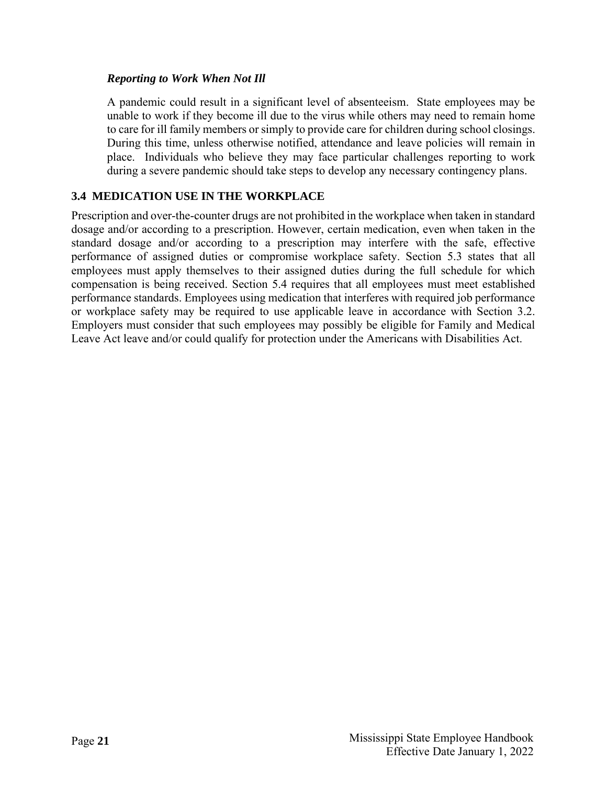#### *Reporting to Work When Not Ill*

A pandemic could result in a significant level of absenteeism. State employees may be unable to work if they become ill due to the virus while others may need to remain home to care for ill family members or simply to provide care for children during school closings. During this time, unless otherwise notified, attendance and leave policies will remain in place. Individuals who believe they may face particular challenges reporting to work during a severe pandemic should take steps to develop any necessary contingency plans.

# <span id="page-25-0"></span>**3.4 MEDICATION USE IN THE WORKPLACE**

Prescription and over-the-counter drugs are not prohibited in the workplace when taken in standard dosage and/or according to a prescription. However, certain medication, even when taken in the standard dosage and/or according to a prescription may interfere with the safe, effective performance of assigned duties or compromise workplace safety. Section 5.3 states that all employees must apply themselves to their assigned duties during the full schedule for which compensation is being received. Section 5.4 requires that all employees must meet established performance standards. Employees using medication that interferes with required job performance or workplace safety may be required to use applicable leave in accordance with Section 3.2. Employers must consider that such employees may possibly be eligible for Family and Medical Leave Act leave and/or could qualify for protection under the Americans with Disabilities Act.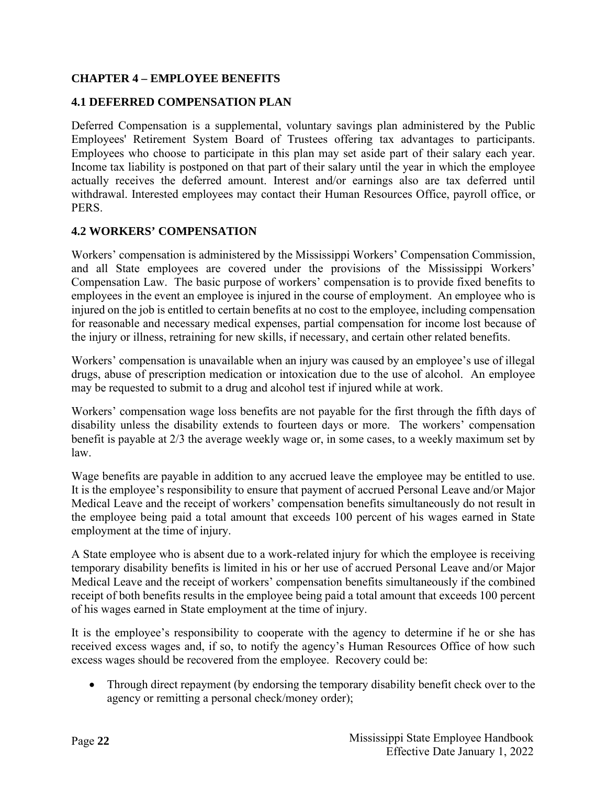# <span id="page-26-0"></span>**CHAPTER 4 – EMPLOYEE BENEFITS**

#### <span id="page-26-1"></span>**4.1 DEFERRED COMPENSATION PLAN**

Deferred Compensation is a supplemental, voluntary savings plan administered by the Public Employees' Retirement System Board of Trustees offering tax advantages to participants. Employees who choose to participate in this plan may set aside part of their salary each year. Income tax liability is postponed on that part of their salary until the year in which the employee actually receives the deferred amount. Interest and/or earnings also are tax deferred until withdrawal. Interested employees may contact their Human Resources Office, payroll office, or PERS.

#### <span id="page-26-2"></span>**4.2 WORKERS' COMPENSATION**

Workers' compensation is administered by the Mississippi Workers' Compensation Commission, and all State employees are covered under the provisions of the Mississippi Workers' Compensation Law. The basic purpose of workers' compensation is to provide fixed benefits to employees in the event an employee is injured in the course of employment. An employee who is injured on the job is entitled to certain benefits at no cost to the employee, including compensation for reasonable and necessary medical expenses, partial compensation for income lost because of the injury or illness, retraining for new skills, if necessary, and certain other related benefits.

Workers' compensation is unavailable when an injury was caused by an employee's use of illegal drugs, abuse of prescription medication or intoxication due to the use of alcohol. An employee may be requested to submit to a drug and alcohol test if injured while at work.

Workers' compensation wage loss benefits are not payable for the first through the fifth days of disability unless the disability extends to fourteen days or more. The workers' compensation benefit is payable at 2/3 the average weekly wage or, in some cases, to a weekly maximum set by law.

Wage benefits are payable in addition to any accrued leave the employee may be entitled to use. It is the employee's responsibility to ensure that payment of accrued Personal Leave and/or Major Medical Leave and the receipt of workers' compensation benefits simultaneously do not result in the employee being paid a total amount that exceeds 100 percent of his wages earned in State employment at the time of injury.

A State employee who is absent due to a work-related injury for which the employee is receiving temporary disability benefits is limited in his or her use of accrued Personal Leave and/or Major Medical Leave and the receipt of workers' compensation benefits simultaneously if the combined receipt of both benefits results in the employee being paid a total amount that exceeds 100 percent of his wages earned in State employment at the time of injury.

It is the employee's responsibility to cooperate with the agency to determine if he or she has received excess wages and, if so, to notify the agency's Human Resources Office of how such excess wages should be recovered from the employee. Recovery could be:

• Through direct repayment (by endorsing the temporary disability benefit check over to the agency or remitting a personal check/money order);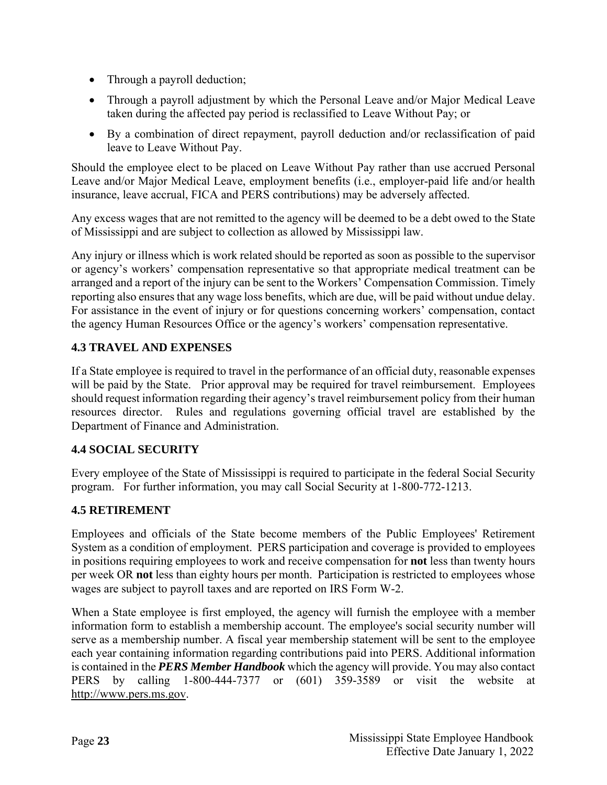- Through a payroll deduction;
- Through a payroll adjustment by which the Personal Leave and/or Major Medical Leave taken during the affected pay period is reclassified to Leave Without Pay; or
- By a combination of direct repayment, payroll deduction and/or reclassification of paid leave to Leave Without Pay.

Should the employee elect to be placed on Leave Without Pay rather than use accrued Personal Leave and/or Major Medical Leave, employment benefits (i.e., employer-paid life and/or health insurance, leave accrual, FICA and PERS contributions) may be adversely affected.

Any excess wages that are not remitted to the agency will be deemed to be a debt owed to the State of Mississippi and are subject to collection as allowed by Mississippi law.

Any injury or illness which is work related should be reported as soon as possible to the supervisor or agency's workers' compensation representative so that appropriate medical treatment can be arranged and a report of the injury can be sent to the Workers' Compensation Commission. Timely reporting also ensures that any wage loss benefits, which are due, will be paid without undue delay. For assistance in the event of injury or for questions concerning workers' compensation, contact the agency Human Resources Office or the agency's workers' compensation representative.

# <span id="page-27-0"></span>**4.3 TRAVEL AND EXPENSES**

If a State employee is required to travel in the performance of an official duty, reasonable expenses will be paid by the State. Prior approval may be required for travel reimbursement. Employees should request information regarding their agency's travel reimbursement policy from their human resources director. Rules and regulations governing official travel are established by the Department of Finance and Administration.

# <span id="page-27-1"></span>**4.4 SOCIAL SECURITY**

Every employee of the State of Mississippi is required to participate in the federal Social Security program. For further information, you may call Social Security at 1-800-772-1213.

# <span id="page-27-2"></span>**4.5 RETIREMENT**

Employees and officials of the State become members of the Public Employees' Retirement System as a condition of employment. PERS participation and coverage is provided to employees in positions requiring employees to work and receive compensation for **not** less than twenty hours per week OR **not** less than eighty hours per month. Participation is restricted to employees whose wages are subject to payroll taxes and are reported on IRS Form W-2.

When a State employee is first employed, the agency will furnish the employee with a member information form to establish a membership account. The employee's social security number will serve as a membership number. A fiscal year membership statement will be sent to the employee each year containing information regarding contributions paid into PERS. Additional information is contained in the *PERS Member Handbook* which the agency will provide. You may also contact PERS by calling 1-800-444-7377 or (601) 359-3589 or visit the website at [http://www.pers.ms.gov.](http://www.pers.ms.gov/)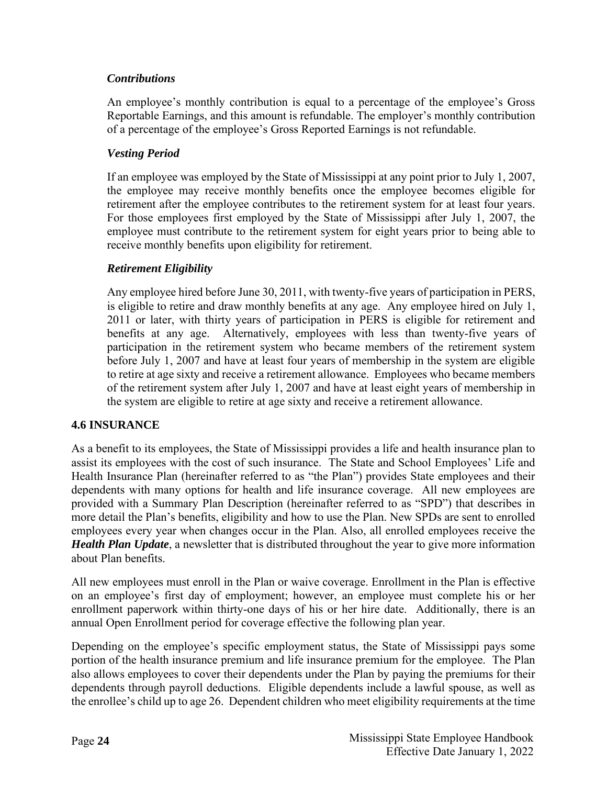# <span id="page-28-0"></span>*Contributions*

An employee's monthly contribution is equal to a percentage of the employee's Gross Reportable Earnings, and this amount is refundable. The employer's monthly contribution of a percentage of the employee's Gross Reported Earnings is not refundable.

# <span id="page-28-1"></span>*Vesting Period*

If an employee was employed by the State of Mississippi at any point prior to July 1, 2007, the employee may receive monthly benefits once the employee becomes eligible for retirement after the employee contributes to the retirement system for at least four years. For those employees first employed by the State of Mississippi after July 1, 2007, the employee must contribute to the retirement system for eight years prior to being able to receive monthly benefits upon eligibility for retirement.

# <span id="page-28-2"></span>*Retirement Eligibility*

Any employee hired before June 30, 2011, with twenty-five years of participation in PERS, is eligible to retire and draw monthly benefits at any age. Any employee hired on July 1, 2011 or later, with thirty years of participation in PERS is eligible for retirement and benefits at any age. Alternatively, employees with less than twenty-five years of participation in the retirement system who became members of the retirement system before July 1, 2007 and have at least four years of membership in the system are eligible to retire at age sixty and receive a retirement allowance. Employees who became members of the retirement system after July 1, 2007 and have at least eight years of membership in the system are eligible to retire at age sixty and receive a retirement allowance.

#### <span id="page-28-3"></span>**4.6 INSURANCE**

As a benefit to its employees, the State of Mississippi provides a life and health insurance plan to assist its employees with the cost of such insurance. The State and School Employees' Life and Health Insurance Plan (hereinafter referred to as "the Plan") provides State employees and their dependents with many options for health and life insurance coverage. All new employees are provided with a Summary Plan Description (hereinafter referred to as "SPD") that describes in more detail the Plan's benefits, eligibility and how to use the Plan. New SPDs are sent to enrolled employees every year when changes occur in the Plan. Also, all enrolled employees receive the *Health Plan Update*, a newsletter that is distributed throughout the year to give more information about Plan benefits.

All new employees must enroll in the Plan or waive coverage. Enrollment in the Plan is effective on an employee's first day of employment; however, an employee must complete his or her enrollment paperwork within thirty-one days of his or her hire date. Additionally, there is an annual Open Enrollment period for coverage effective the following plan year.

Depending on the employee's specific employment status, the State of Mississippi pays some portion of the health insurance premium and life insurance premium for the employee. The Plan also allows employees to cover their dependents under the Plan by paying the premiums for their dependents through payroll deductions. Eligible dependents include a lawful spouse, as well as the enrollee's child up to age 26. Dependent children who meet eligibility requirements at the time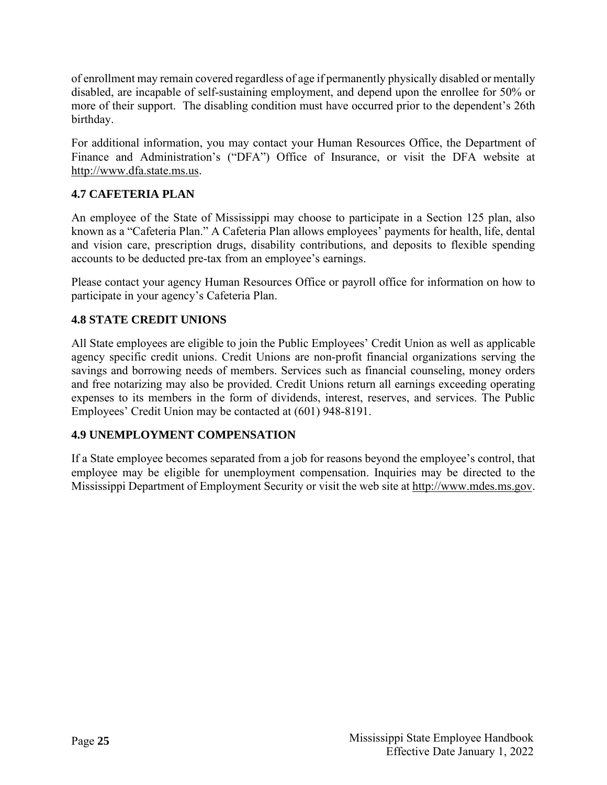of enrollment may remain covered regardless of age if permanently physically disabled or mentally disabled, are incapable of self-sustaining employment, and depend upon the enrollee for 50% or more of their support. The disabling condition must have occurred prior to the dependent's 26th birthday.

For additional information, you may contact your Human Resources Office, the Department of Finance and Administration's ("DFA") Office of Insurance, or visit the DFA website at [http://www.dfa.state.ms.us.](http://www.dfa.state.ms.us/)

# <span id="page-29-0"></span>**4.7 CAFETERIA PLAN**

An employee of the State of Mississippi may choose to participate in a Section 125 plan, also known as a "Cafeteria Plan." A Cafeteria Plan allows employees' payments for health, life, dental and vision care, prescription drugs, disability contributions, and deposits to flexible spending accounts to be deducted pre-tax from an employee's earnings.

Please contact your agency Human Resources Office or payroll office for information on how to participate in your agency's Cafeteria Plan.

# <span id="page-29-1"></span>**4.8 STATE CREDIT UNIONS**

All State employees are eligible to join the Public Employees' Credit Union as well as applicable agency specific credit unions. Credit Unions are non-profit financial organizations serving the savings and borrowing needs of members. Services such as financial counseling, money orders and free notarizing may also be provided. Credit Unions return all earnings exceeding operating expenses to its members in the form of dividends, interest, reserves, and services. The Public Employees' Credit Union may be contacted at (601) 948-8191.

# <span id="page-29-2"></span>**4.9 UNEMPLOYMENT COMPENSATION**

If a State employee becomes separated from a job for reasons beyond the employee's control, that employee may be eligible for unemployment compensation. Inquiries may be directed to the Mississippi Department of Employment Security or visit the web site at [http://www.mdes.ms.gov.](http://www.mdes.ms.gov/)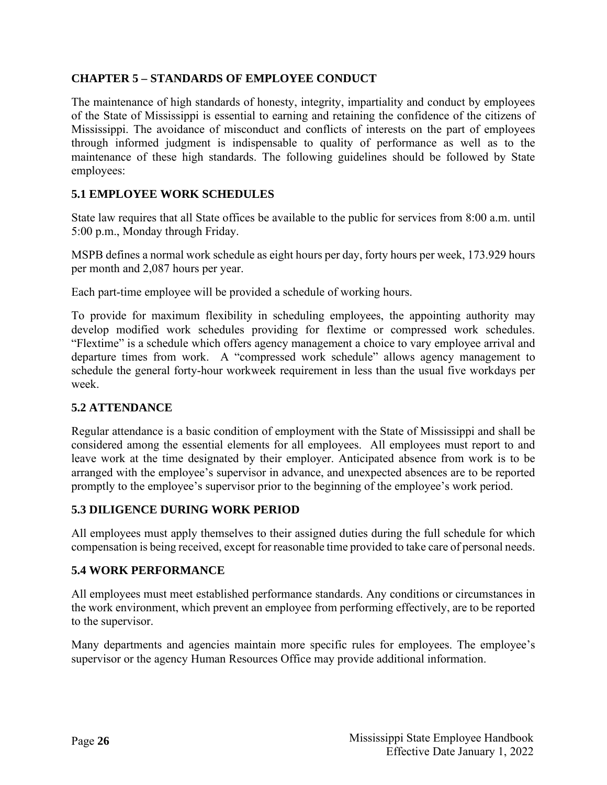# <span id="page-30-0"></span>**CHAPTER 5 – STANDARDS OF EMPLOYEE CONDUCT**

The maintenance of high standards of honesty, integrity, impartiality and conduct by employees of the State of Mississippi is essential to earning and retaining the confidence of the citizens of Mississippi. The avoidance of misconduct and conflicts of interests on the part of employees through informed judgment is indispensable to quality of performance as well as to the maintenance of these high standards. The following guidelines should be followed by State employees:

# <span id="page-30-1"></span>**5.1 EMPLOYEE WORK SCHEDULES**

State law requires that all State offices be available to the public for services from 8:00 a.m. until 5:00 p.m., Monday through Friday.

MSPB defines a normal work schedule as eight hours per day, forty hours per week, 173.929 hours per month and 2,087 hours per year.

Each part-time employee will be provided a schedule of working hours.

To provide for maximum flexibility in scheduling employees, the appointing authority may develop modified work schedules providing for flextime or compressed work schedules. "Flextime" is a schedule which offers agency management a choice to vary employee arrival and departure times from work. A "compressed work schedule" allows agency management to schedule the general forty-hour workweek requirement in less than the usual five workdays per week.

#### <span id="page-30-2"></span>**5.2 ATTENDANCE**

Regular attendance is a basic condition of employment with the State of Mississippi and shall be considered among the essential elements for all employees. All employees must report to and leave work at the time designated by their employer. Anticipated absence from work is to be arranged with the employee's supervisor in advance, and unexpected absences are to be reported promptly to the employee's supervisor prior to the beginning of the employee's work period.

#### <span id="page-30-3"></span>**5.3 DILIGENCE DURING WORK PERIOD**

All employees must apply themselves to their assigned duties during the full schedule for which compensation is being received, except for reasonable time provided to take care of personal needs.

#### <span id="page-30-4"></span>**5.4 WORK PERFORMANCE**

All employees must meet established performance standards. Any conditions or circumstances in the work environment, which prevent an employee from performing effectively, are to be reported to the supervisor.

Many departments and agencies maintain more specific rules for employees. The employee's supervisor or the agency Human Resources Office may provide additional information.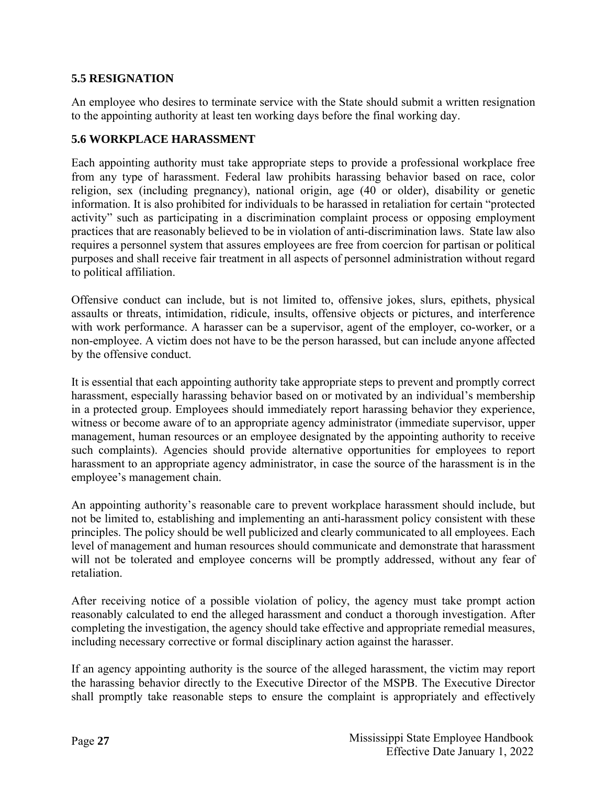#### <span id="page-31-0"></span>**5.5 RESIGNATION**

An employee who desires to terminate service with the State should submit a written resignation to the appointing authority at least ten working days before the final working day.

# <span id="page-31-1"></span>**5.6 WORKPLACE HARASSMENT**

Each appointing authority must take appropriate steps to provide a professional workplace free from any type of harassment. Federal law prohibits harassing behavior based on race, color religion, sex (including pregnancy), national origin, age (40 or older), disability or genetic information. It is also prohibited for individuals to be harassed in retaliation for certain "protected activity" such as participating in a discrimination complaint process or opposing employment practices that are reasonably believed to be in violation of anti-discrimination laws. State law also requires a personnel system that assures employees are free from coercion for partisan or political purposes and shall receive fair treatment in all aspects of personnel administration without regard to political affiliation.

Offensive conduct can include, but is not limited to, offensive jokes, slurs, epithets, physical assaults or threats, intimidation, ridicule, insults, offensive objects or pictures, and interference with work performance. A harasser can be a supervisor, agent of the employer, co-worker, or a non-employee. A victim does not have to be the person harassed, but can include anyone affected by the offensive conduct.

It is essential that each appointing authority take appropriate steps to prevent and promptly correct harassment, especially harassing behavior based on or motivated by an individual's membership in a protected group. Employees should immediately report harassing behavior they experience, witness or become aware of to an appropriate agency administrator (immediate supervisor, upper management, human resources or an employee designated by the appointing authority to receive such complaints). Agencies should provide alternative opportunities for employees to report harassment to an appropriate agency administrator, in case the source of the harassment is in the employee's management chain.

An appointing authority's reasonable care to prevent workplace harassment should include, but not be limited to, establishing and implementing an anti-harassment policy consistent with these principles. The policy should be well publicized and clearly communicated to all employees. Each level of management and human resources should communicate and demonstrate that harassment will not be tolerated and employee concerns will be promptly addressed, without any fear of retaliation.

After receiving notice of a possible violation of policy, the agency must take prompt action reasonably calculated to end the alleged harassment and conduct a thorough investigation. After completing the investigation, the agency should take effective and appropriate remedial measures, including necessary corrective or formal disciplinary action against the harasser.

If an agency appointing authority is the source of the alleged harassment, the victim may report the harassing behavior directly to the Executive Director of the MSPB. The Executive Director shall promptly take reasonable steps to ensure the complaint is appropriately and effectively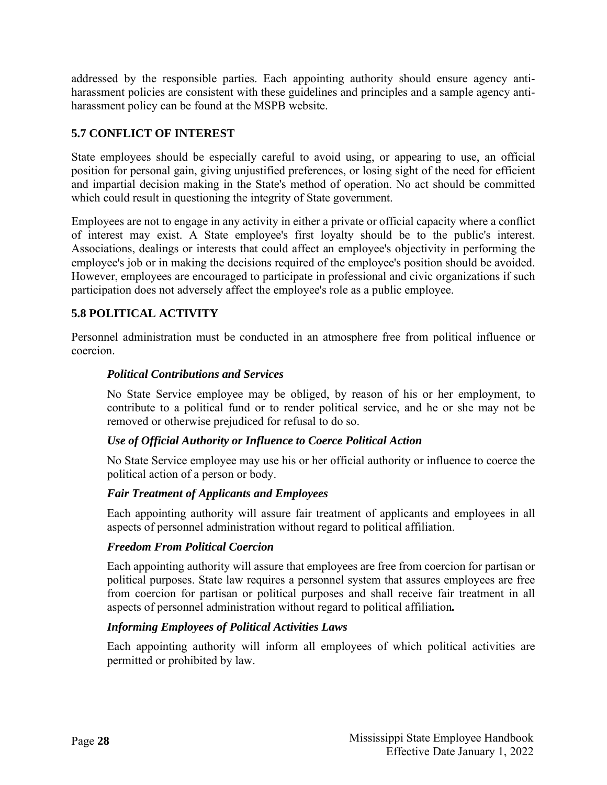addressed by the responsible parties. Each appointing authority should ensure agency antiharassment policies are consistent with these guidelines and principles and a sample agency antiharassment policy can be found at the MSPB website.

# <span id="page-32-0"></span>**5.7 CONFLICT OF INTEREST**

State employees should be especially careful to avoid using, or appearing to use, an official position for personal gain, giving unjustified preferences, or losing sight of the need for efficient and impartial decision making in the State's method of operation. No act should be committed which could result in questioning the integrity of State government.

Employees are not to engage in any activity in either a private or official capacity where a conflict of interest may exist. A State employee's first loyalty should be to the public's interest. Associations, dealings or interests that could affect an employee's objectivity in performing the employee's job or in making the decisions required of the employee's position should be avoided. However, employees are encouraged to participate in professional and civic organizations if such participation does not adversely affect the employee's role as a public employee.

# <span id="page-32-1"></span>**5.8 POLITICAL ACTIVITY**

<span id="page-32-2"></span>Personnel administration must be conducted in an atmosphere free from political influence or coercion.

#### *Political Contributions and Services*

No State Service employee may be obliged, by reason of his or her employment, to contribute to a political fund or to render political service, and he or she may not be removed or otherwise prejudiced for refusal to do so.

#### <span id="page-32-3"></span>*Use of Official Authority or Influence to Coerce Political Action*

No State Service employee may use his or her official authority or influence to coerce the political action of a person or body.

#### <span id="page-32-4"></span>*Fair Treatment of Applicants and Employees*

Each appointing authority will assure fair treatment of applicants and employees in all aspects of personnel administration without regard to political affiliation.

#### <span id="page-32-5"></span>*Freedom From Political Coercion*

Each appointing authority will assure that employees are free from coercion for partisan or political purposes. State law requires a personnel system that assures employees are free from coercion for partisan or political purposes and shall receive fair treatment in all aspects of personnel administration without regard to political affiliation*.* 

#### <span id="page-32-6"></span>*Informing Employees of Political Activities Laws*

Each appointing authority will inform all employees of which political activities are permitted or prohibited by law.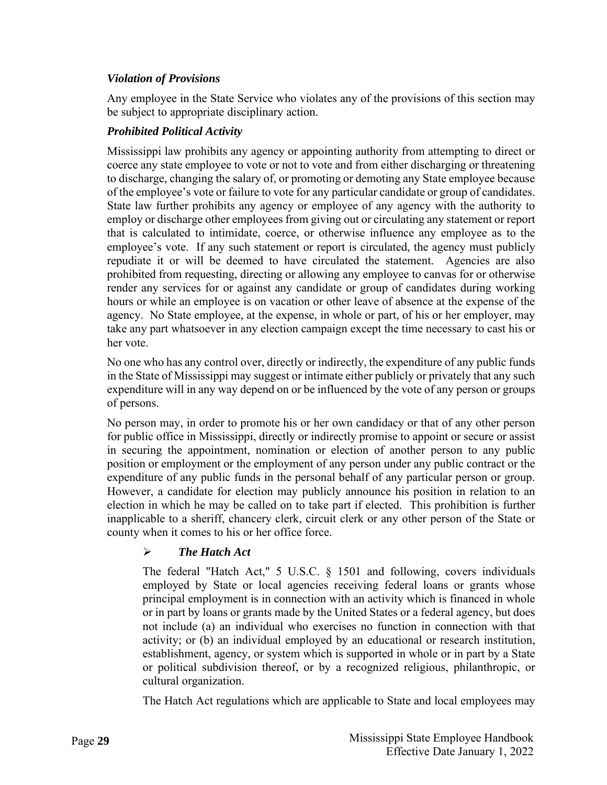# <span id="page-33-0"></span>*Violation of Provisions*

Any employee in the State Service who violates any of the provisions of this section may be subject to appropriate disciplinary action.

# <span id="page-33-1"></span>*Prohibited Political Activity*

Mississippi law prohibits any agency or appointing authority from attempting to direct or coerce any state employee to vote or not to vote and from either discharging or threatening to discharge, changing the salary of, or promoting or demoting any State employee because of the employee's vote or failure to vote for any particular candidate or group of candidates. State law further prohibits any agency or employee of any agency with the authority to employ or discharge other employees from giving out or circulating any statement or report that is calculated to intimidate, coerce, or otherwise influence any employee as to the employee's vote. If any such statement or report is circulated, the agency must publicly repudiate it or will be deemed to have circulated the statement. Agencies are also prohibited from requesting, directing or allowing any employee to canvas for or otherwise render any services for or against any candidate or group of candidates during working hours or while an employee is on vacation or other leave of absence at the expense of the agency. No State employee, at the expense, in whole or part, of his or her employer, may take any part whatsoever in any election campaign except the time necessary to cast his or her vote.

No one who has any control over, directly or indirectly, the expenditure of any public funds in the State of Mississippi may suggest or intimate either publicly or privately that any such expenditure will in any way depend on or be influenced by the vote of any person or groups of persons.

No person may, in order to promote his or her own candidacy or that of any other person for public office in Mississippi, directly or indirectly promise to appoint or secure or assist in securing the appointment, nomination or election of another person to any public position or employment or the employment of any person under any public contract or the expenditure of any public funds in the personal behalf of any particular person or group. However, a candidate for election may publicly announce his position in relation to an election in which he may be called on to take part if elected. This prohibition is further inapplicable to a sheriff, chancery clerk, circuit clerk or any other person of the State or county when it comes to his or her office force.

# *The Hatch Act*

The federal "Hatch Act," 5 U.S.C. § 1501 and following, covers individuals employed by State or local agencies receiving federal loans or grants whose principal employment is in connection with an activity which is financed in whole or in part by loans or grants made by the United States or a federal agency, but does not include (a) an individual who exercises no function in connection with that activity; or (b) an individual employed by an educational or research institution, establishment, agency, or system which is supported in whole or in part by a State or political subdivision thereof, or by a recognized religious, philanthropic, or cultural organization.

The Hatch Act regulations which are applicable to State and local employees may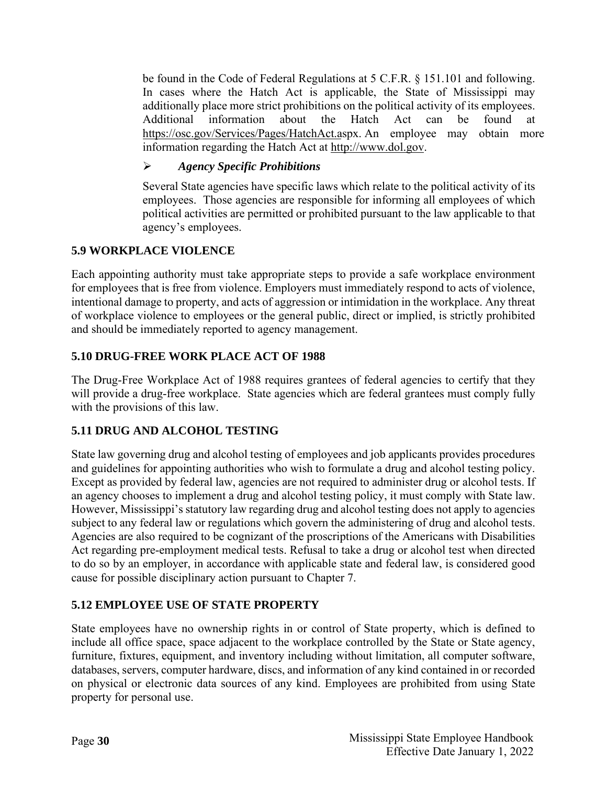be found in the Code of Federal Regulations at 5 C.F.R. § 151.101 and following. In cases where the Hatch Act is applicable, the State of Mississippi may additionally place more strict prohibitions on the political activity of its employees. Additional information about the Hatch Act can be found at [https://osc.gov/Services/Pages/HatchAct.aspx.](https://osc.gov/Services/Pages/HatchAct.aspx) An employee may obtain more information regarding the Hatch Act at [http://www.dol.gov.](http://www.dol.gov/)

# *Agency Specific Prohibitions*

Several State agencies have specific laws which relate to the political activity of its employees. Those agencies are responsible for informing all employees of which political activities are permitted or prohibited pursuant to the law applicable to that agency's employees.

# <span id="page-34-0"></span>**5.9 WORKPLACE VIOLENCE**

Each appointing authority must take appropriate steps to provide a safe workplace environment for employees that is free from violence. Employers must immediately respond to acts of violence, intentional damage to property, and acts of aggression or intimidation in the workplace. Any threat of workplace violence to employees or the general public, direct or implied, is strictly prohibited and should be immediately reported to agency management.

# <span id="page-34-1"></span>**5.10 DRUG-FREE WORK PLACE ACT OF 1988**

The Drug-Free Workplace Act of 1988 requires grantees of federal agencies to certify that they will provide a drug-free workplace. State agencies which are federal grantees must comply fully with the provisions of this law.

# <span id="page-34-2"></span>**5.11 DRUG AND ALCOHOL TESTING**

State law governing drug and alcohol testing of employees and job applicants provides procedures and guidelines for appointing authorities who wish to formulate a drug and alcohol testing policy. Except as provided by federal law, agencies are not required to administer drug or alcohol tests. If an agency chooses to implement a drug and alcohol testing policy, it must comply with State law. However, Mississippi's statutory law regarding drug and alcohol testing does not apply to agencies subject to any federal law or regulations which govern the administering of drug and alcohol tests. Agencies are also required to be cognizant of the proscriptions of the Americans with Disabilities Act regarding pre-employment medical tests. Refusal to take a drug or alcohol test when directed to do so by an employer, in accordance with applicable state and federal law, is considered good cause for possible disciplinary action pursuant to Chapter 7.

# <span id="page-34-3"></span>**5.12 EMPLOYEE USE OF STATE PROPERTY**

State employees have no ownership rights in or control of State property, which is defined to include all office space, space adjacent to the workplace controlled by the State or State agency, furniture, fixtures, equipment, and inventory including without limitation, all computer software, databases, servers, computer hardware, discs, and information of any kind contained in or recorded on physical or electronic data sources of any kind. Employees are prohibited from using State property for personal use.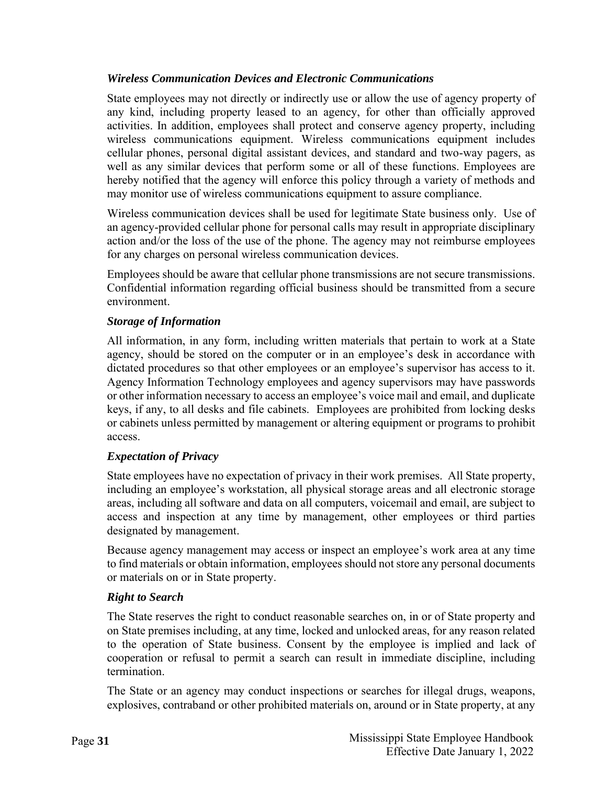# <span id="page-35-0"></span>*Wireless Communication Devices and Electronic Communications*

State employees may not directly or indirectly use or allow the use of agency property of any kind, including property leased to an agency, for other than officially approved activities. In addition, employees shall protect and conserve agency property, including wireless communications equipment. Wireless communications equipment includes cellular phones, personal digital assistant devices, and standard and two-way pagers, as well as any similar devices that perform some or all of these functions. Employees are hereby notified that the agency will enforce this policy through a variety of methods and may monitor use of wireless communications equipment to assure compliance.

Wireless communication devices shall be used for legitimate State business only. Use of an agency-provided cellular phone for personal calls may result in appropriate disciplinary action and/or the loss of the use of the phone. The agency may not reimburse employees for any charges on personal wireless communication devices.

Employees should be aware that cellular phone transmissions are not secure transmissions. Confidential information regarding official business should be transmitted from a secure environment.

# <span id="page-35-1"></span>*Storage of Information*

All information, in any form, including written materials that pertain to work at a State agency, should be stored on the computer or in an employee's desk in accordance with dictated procedures so that other employees or an employee's supervisor has access to it. Agency Information Technology employees and agency supervisors may have passwords or other information necessary to access an employee's voice mail and email, and duplicate keys, if any, to all desks and file cabinets. Employees are prohibited from locking desks or cabinets unless permitted by management or altering equipment or programs to prohibit access.

#### <span id="page-35-2"></span>*Expectation of Privacy*

State employees have no expectation of privacy in their work premises. All State property, including an employee's workstation, all physical storage areas and all electronic storage areas, including all software and data on all computers, voicemail and email, are subject to access and inspection at any time by management, other employees or third parties designated by management.

Because agency management may access or inspect an employee's work area at any time to find materials or obtain information, employees should not store any personal documents or materials on or in State property.

#### <span id="page-35-3"></span>*Right to Search*

The State reserves the right to conduct reasonable searches on, in or of State property and on State premises including, at any time, locked and unlocked areas, for any reason related to the operation of State business. Consent by the employee is implied and lack of cooperation or refusal to permit a search can result in immediate discipline, including termination.

The State or an agency may conduct inspections or searches for illegal drugs, weapons, explosives, contraband or other prohibited materials on, around or in State property, at any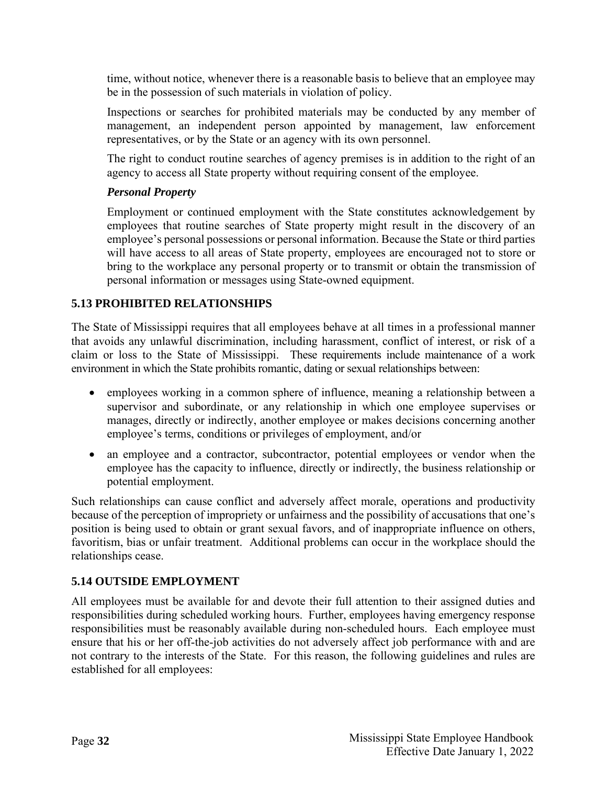time, without notice, whenever there is a reasonable basis to believe that an employee may be in the possession of such materials in violation of policy.

Inspections or searches for prohibited materials may be conducted by any member of management, an independent person appointed by management, law enforcement representatives, or by the State or an agency with its own personnel.

The right to conduct routine searches of agency premises is in addition to the right of an agency to access all State property without requiring consent of the employee.

#### <span id="page-36-0"></span>*Personal Property*

Employment or continued employment with the State constitutes acknowledgement by employees that routine searches of State property might result in the discovery of an employee's personal possessions or personal information. Because the State or third parties will have access to all areas of State property, employees are encouraged not to store or bring to the workplace any personal property or to transmit or obtain the transmission of personal information or messages using State-owned equipment.

# <span id="page-36-1"></span>**5.13 PROHIBITED RELATIONSHIPS**

The State of Mississippi requires that all employees behave at all times in a professional manner that avoids any unlawful discrimination, including harassment, conflict of interest, or risk of a claim or loss to the State of Mississippi. These requirements include maintenance of a work environment in which the State prohibits romantic, dating or sexual relationships between:

- employees working in a common sphere of influence, meaning a relationship between a supervisor and subordinate, or any relationship in which one employee supervises or manages, directly or indirectly, another employee or makes decisions concerning another employee's terms, conditions or privileges of employment, and/or
- an employee and a contractor, subcontractor, potential employees or vendor when the employee has the capacity to influence, directly or indirectly, the business relationship or potential employment.

Such relationships can cause conflict and adversely affect morale, operations and productivity because of the perception of impropriety or unfairness and the possibility of accusations that one's position is being used to obtain or grant sexual favors, and of inappropriate influence on others, favoritism, bias or unfair treatment. Additional problems can occur in the workplace should the relationships cease.

# <span id="page-36-2"></span>**5.14 OUTSIDE EMPLOYMENT**

All employees must be available for and devote their full attention to their assigned duties and responsibilities during scheduled working hours. Further, employees having emergency response responsibilities must be reasonably available during non-scheduled hours. Each employee must ensure that his or her off-the-job activities do not adversely affect job performance with and are not contrary to the interests of the State. For this reason, the following guidelines and rules are established for all employees: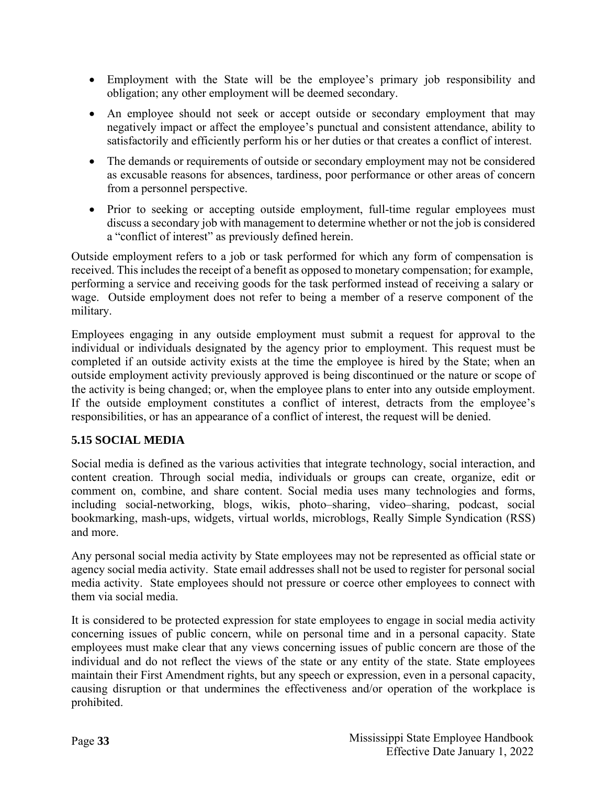- Employment with the State will be the employee's primary job responsibility and obligation; any other employment will be deemed secondary.
- An employee should not seek or accept outside or secondary employment that may negatively impact or affect the employee's punctual and consistent attendance, ability to satisfactorily and efficiently perform his or her duties or that creates a conflict of interest.
- The demands or requirements of outside or secondary employment may not be considered as excusable reasons for absences, tardiness, poor performance or other areas of concern from a personnel perspective.
- Prior to seeking or accepting outside employment, full-time regular employees must discuss a secondary job with management to determine whether or not the job is considered a "conflict of interest" as previously defined herein.

Outside employment refers to a job or task performed for which any form of compensation is received. This includes the receipt of a benefit as opposed to monetary compensation; for example, performing a service and receiving goods for the task performed instead of receiving a salary or wage. Outside employment does not refer to being a member of a reserve component of the military.

Employees engaging in any outside employment must submit a request for approval to the individual or individuals designated by the agency prior to employment. This request must be completed if an outside activity exists at the time the employee is hired by the State; when an outside employment activity previously approved is being discontinued or the nature or scope of the activity is being changed; or, when the employee plans to enter into any outside employment. If the outside employment constitutes a conflict of interest, detracts from the employee's responsibilities, or has an appearance of a conflict of interest, the request will be denied.

# <span id="page-37-0"></span>**5.15 SOCIAL MEDIA**

Social media is defined as the various activities that integrate technology, social interaction, and content creation. Through social media, individuals or groups can create, organize, edit or comment on, combine, and share content. Social media uses many technologies and forms, including social-networking, blogs, wikis, photo–sharing, video–sharing, podcast, social bookmarking, mash-ups, widgets, virtual worlds, microblogs, Really Simple Syndication (RSS) and more.

Any personal social media activity by State employees may not be represented as official state or agency social media activity. State email addresses shall not be used to register for personal social media activity. State employees should not pressure or coerce other employees to connect with them via social media.

It is considered to be protected expression for state employees to engage in social media activity concerning issues of public concern, while on personal time and in a personal capacity. State employees must make clear that any views concerning issues of public concern are those of the individual and do not reflect the views of the state or any entity of the state. State employees maintain their First Amendment rights, but any speech or expression, even in a personal capacity, causing disruption or that undermines the effectiveness and/or operation of the workplace is prohibited.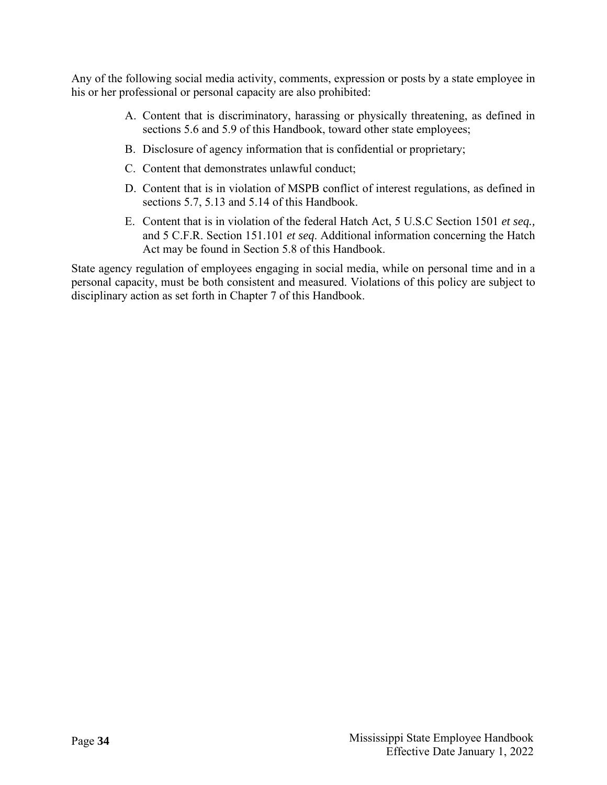Any of the following social media activity, comments, expression or posts by a state employee in his or her professional or personal capacity are also prohibited:

- A. Content that is discriminatory, harassing or physically threatening, as defined in sections 5.6 and 5.9 of this Handbook, toward other state employees;
- B. Disclosure of agency information that is confidential or proprietary;
- C. Content that demonstrates unlawful conduct;
- D. Content that is in violation of MSPB conflict of interest regulations, as defined in sections 5.7, 5.13 and 5.14 of this Handbook.
- E. Content that is in violation of the federal Hatch Act, 5 U.S.C Section 1501 *et seq.,* and 5 C.F.R. Section 151.101 *et seq*. Additional information concerning the Hatch Act may be found in Section 5.8 of this Handbook.

State agency regulation of employees engaging in social media, while on personal time and in a personal capacity, must be both consistent and measured. Violations of this policy are subject to disciplinary action as set forth in Chapter 7 of this Handbook.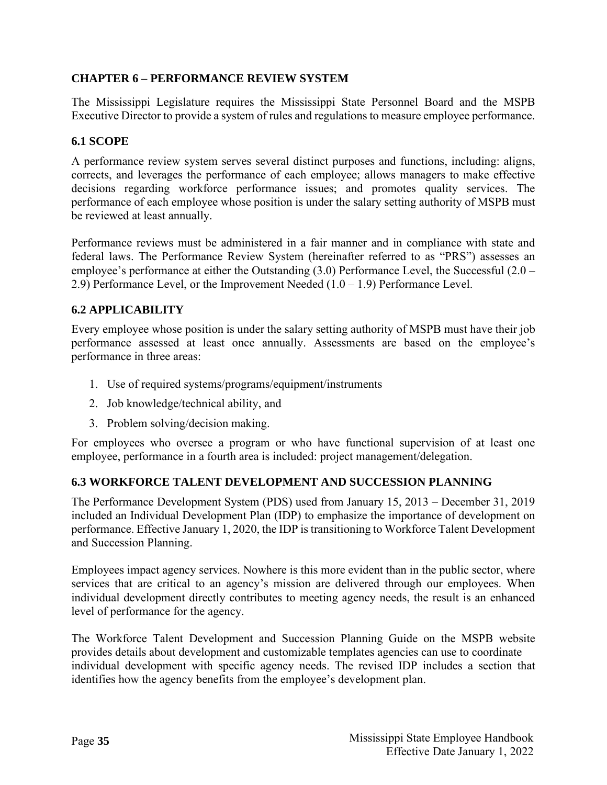# <span id="page-39-0"></span>**CHAPTER 6 – PERFORMANCE REVIEW SYSTEM**

The Mississippi Legislature requires the Mississippi State Personnel Board and the MSPB Executive Director to provide a system of rules and regulations to measure employee performance.

# <span id="page-39-1"></span>**6.1 SCOPE**

A performance review system serves several distinct purposes and functions, including: aligns, corrects, and leverages the performance of each employee; allows managers to make effective decisions regarding workforce performance issues; and promotes quality services. The performance of each employee whose position is under the salary setting authority of MSPB must be reviewed at least annually.

Performance reviews must be administered in a fair manner and in compliance with state and federal laws. The Performance Review System (hereinafter referred to as "PRS") assesses an employee's performance at either the Outstanding (3.0) Performance Level, the Successful (2.0 – 2.9) Performance Level, or the Improvement Needed  $(1.0 - 1.9)$  Performance Level.

# <span id="page-39-2"></span>**6.2 APPLICABILITY**

Every employee whose position is under the salary setting authority of MSPB must have their job performance assessed at least once annually. Assessments are based on the employee's performance in three areas:

- 1. Use of required systems/programs/equipment/instruments
- 2. Job knowledge/technical ability, and
- 3. Problem solving/decision making.

For employees who oversee a program or who have functional supervision of at least one employee, performance in a fourth area is included: project management/delegation.

#### <span id="page-39-3"></span>**6.3 WORKFORCE TALENT DEVELOPMENT AND SUCCESSION PLANNING**

The Performance Development System (PDS) used from January 15, 2013 – December 31, 2019 included an Individual Development Plan (IDP) to emphasize the importance of development on performance. Effective January 1, 2020, the IDP is transitioning to Workforce Talent Development and Succession Planning.

Employees impact agency services. Nowhere is this more evident than in the public sector, where services that are critical to an agency's mission are delivered through our employees. When individual development directly contributes to meeting agency needs, the result is an enhanced level of performance for the agency.

The Workforce Talent Development and Succession Planning Guide on the MSPB website provides details about development and customizable templates agencies can use to coordinate individual development with specific agency needs. The revised IDP includes a section that identifies how the agency benefits from the employee's development plan.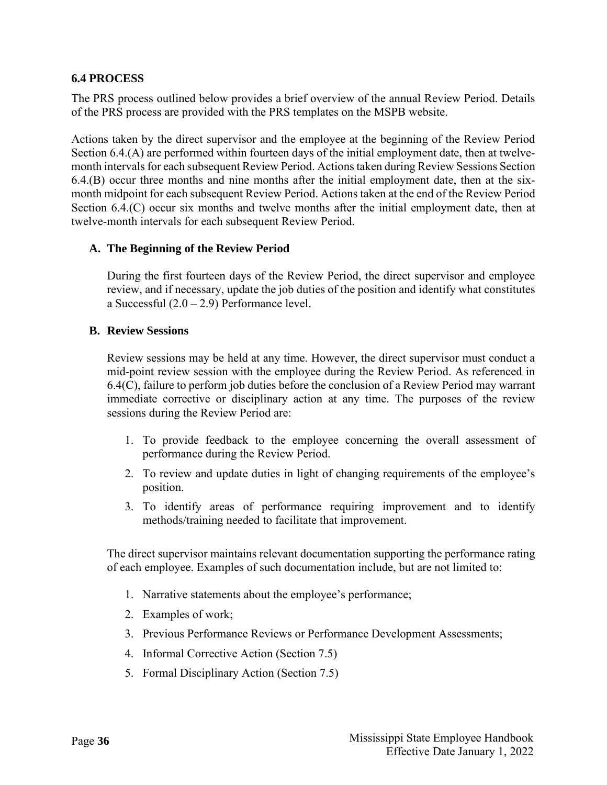# <span id="page-40-0"></span>**6.4 PROCESS**

The PRS process outlined below provides a brief overview of the annual Review Period. Details of the PRS process are provided with the PRS templates on the MSPB website.

Actions taken by the direct supervisor and the employee at the beginning of the Review Period Section 6.4.(A) are performed within fourteen days of the initial employment date, then at twelvemonth intervals for each subsequent Review Period. Actions taken during Review Sessions Section 6.4.(B) occur three months and nine months after the initial employment date, then at the sixmonth midpoint for each subsequent Review Period. Actions taken at the end of the Review Period Section 6.4.(C) occur six months and twelve months after the initial employment date, then at twelve-month intervals for each subsequent Review Period.

#### **A. The Beginning of the Review Period**

During the first fourteen days of the Review Period, the direct supervisor and employee review, and if necessary, update the job duties of the position and identify what constitutes a Successful  $(2.0 - 2.9)$  Performance level.

#### **B. Review Sessions**

Review sessions may be held at any time. However, the direct supervisor must conduct a mid-point review session with the employee during the Review Period. As referenced in 6.4(C), failure to perform job duties before the conclusion of a Review Period may warrant immediate corrective or disciplinary action at any time. The purposes of the review sessions during the Review Period are:

- 1. To provide feedback to the employee concerning the overall assessment of performance during the Review Period.
- 2. To review and update duties in light of changing requirements of the employee's position.
- 3. To identify areas of performance requiring improvement and to identify methods/training needed to facilitate that improvement.

The direct supervisor maintains relevant documentation supporting the performance rating of each employee. Examples of such documentation include, but are not limited to:

- 1. Narrative statements about the employee's performance;
- 2. Examples of work;
- 3. Previous Performance Reviews or Performance Development Assessments;
- 4. Informal Corrective Action (Section 7.5)
- 5. Formal Disciplinary Action (Section 7.5)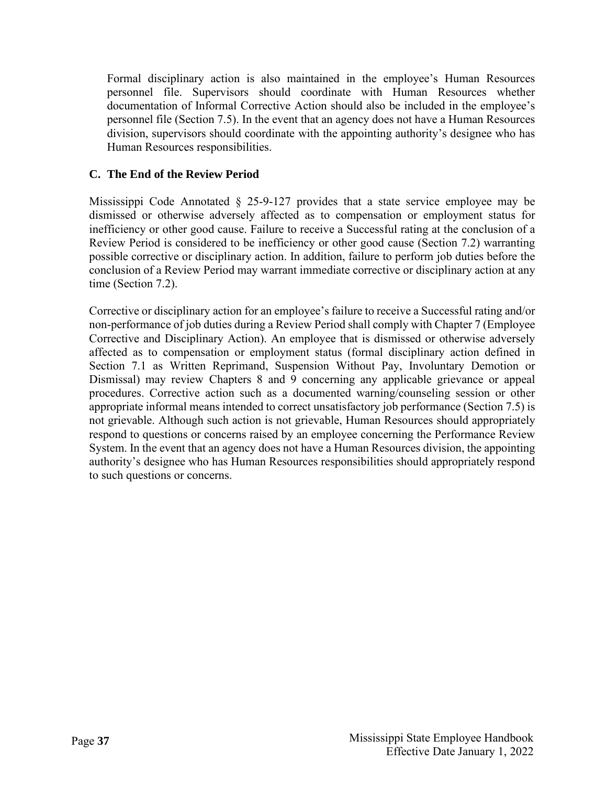Formal disciplinary action is also maintained in the employee's Human Resources personnel file. Supervisors should coordinate with Human Resources whether documentation of Informal Corrective Action should also be included in the employee's personnel file (Section 7.5). In the event that an agency does not have a Human Resources division, supervisors should coordinate with the appointing authority's designee who has Human Resources responsibilities.

# **C. The End of the Review Period**

Mississippi Code Annotated § 25-9-127 provides that a state service employee may be dismissed or otherwise adversely affected as to compensation or employment status for inefficiency or other good cause. Failure to receive a Successful rating at the conclusion of a Review Period is considered to be inefficiency or other good cause (Section 7.2) warranting possible corrective or disciplinary action. In addition, failure to perform job duties before the conclusion of a Review Period may warrant immediate corrective or disciplinary action at any time (Section 7.2).

Corrective or disciplinary action for an employee's failure to receive a Successful rating and/or non-performance of job duties during a Review Period shall comply with Chapter 7 (Employee Corrective and Disciplinary Action). An employee that is dismissed or otherwise adversely affected as to compensation or employment status (formal disciplinary action defined in Section 7.1 as Written Reprimand, Suspension Without Pay, Involuntary Demotion or Dismissal) may review Chapters 8 and 9 concerning any applicable grievance or appeal procedures. Corrective action such as a documented warning/counseling session or other appropriate informal means intended to correct unsatisfactory job performance (Section 7.5) is not grievable. Although such action is not grievable, Human Resources should appropriately respond to questions or concerns raised by an employee concerning the Performance Review System. In the event that an agency does not have a Human Resources division, the appointing authority's designee who has Human Resources responsibilities should appropriately respond to such questions or concerns.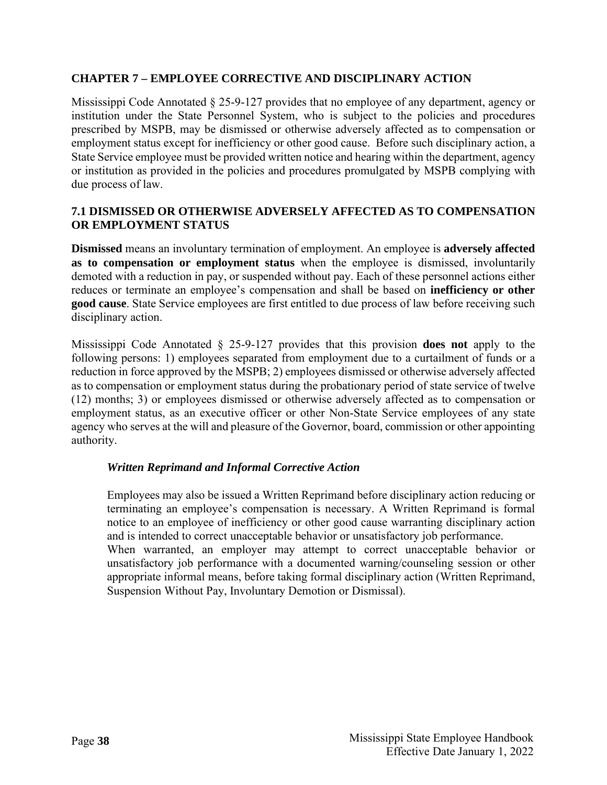#### <span id="page-42-0"></span>**CHAPTER 7 – EMPLOYEE CORRECTIVE AND DISCIPLINARY ACTION**

Mississippi Code Annotated § 25-9-127 provides that no employee of any department, agency or institution under the State Personnel System, who is subject to the policies and procedures prescribed by MSPB, may be dismissed or otherwise adversely affected as to compensation or employment status except for inefficiency or other good cause. Before such disciplinary action, a State Service employee must be provided written notice and hearing within the department, agency or institution as provided in the policies and procedures promulgated by MSPB complying with due process of law.

#### <span id="page-42-1"></span>**7.1 DISMISSED OR OTHERWISE ADVERSELY AFFECTED AS TO COMPENSATION OR EMPLOYMENT STATUS**

**Dismissed** means an involuntary termination of employment. An employee is **adversely affected as to compensation or employment status** when the employee is dismissed, involuntarily demoted with a reduction in pay, or suspended without pay. Each of these personnel actions either reduces or terminate an employee's compensation and shall be based on **inefficiency or other good cause**. State Service employees are first entitled to due process of law before receiving such disciplinary action.

Mississippi Code Annotated § 25-9-127 provides that this provision **does not** apply to the following persons: 1) employees separated from employment due to a curtailment of funds or a reduction in force approved by the MSPB; 2) employees dismissed or otherwise adversely affected as to compensation or employment status during the probationary period of state service of twelve (12) months; 3) or employees dismissed or otherwise adversely affected as to compensation or employment status, as an executive officer or other Non-State Service employees of any state agency who serves at the will and pleasure of the Governor, board, commission or other appointing authority.

#### <span id="page-42-2"></span>*Written Reprimand and Informal Corrective Action*

Employees may also be issued a Written Reprimand before disciplinary action reducing or terminating an employee's compensation is necessary. A Written Reprimand is formal notice to an employee of inefficiency or other good cause warranting disciplinary action and is intended to correct unacceptable behavior or unsatisfactory job performance.

When warranted, an employer may attempt to correct unacceptable behavior or unsatisfactory job performance with a documented warning/counseling session or other appropriate informal means, before taking formal disciplinary action (Written Reprimand, Suspension Without Pay, Involuntary Demotion or Dismissal).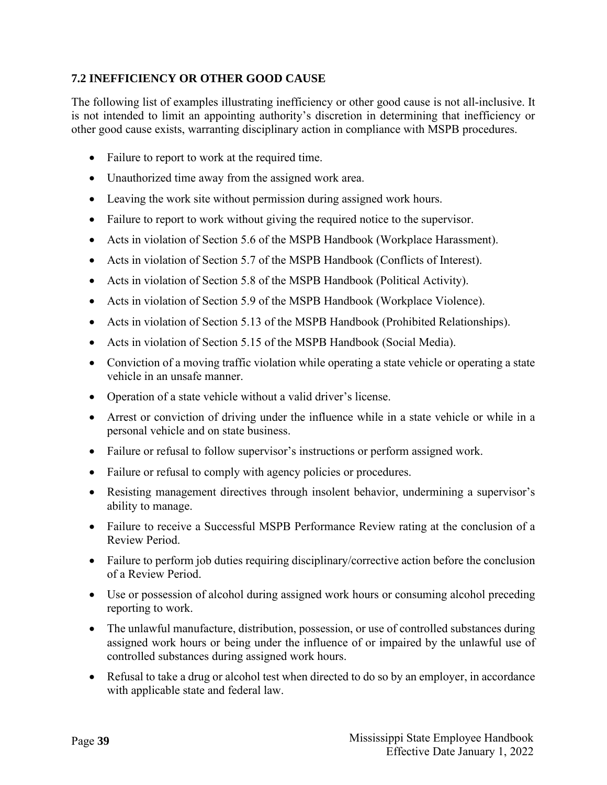# <span id="page-43-0"></span>**7.2 INEFFICIENCY OR OTHER GOOD CAUSE**

The following list of examples illustrating inefficiency or other good cause is not all-inclusive. It is not intended to limit an appointing authority's discretion in determining that inefficiency or other good cause exists, warranting disciplinary action in compliance with MSPB procedures.

- Failure to report to work at the required time.
- Unauthorized time away from the assigned work area.
- Leaving the work site without permission during assigned work hours.
- Failure to report to work without giving the required notice to the supervisor.
- Acts in violation of Section 5.6 of the MSPB Handbook (Workplace Harassment).
- Acts in violation of Section 5.7 of the MSPB Handbook (Conflicts of Interest).
- Acts in violation of Section 5.8 of the MSPB Handbook (Political Activity).
- Acts in violation of Section 5.9 of the MSPB Handbook (Workplace Violence).
- Acts in violation of Section 5.13 of the MSPB Handbook (Prohibited Relationships).
- Acts in violation of Section 5.15 of the MSPB Handbook (Social Media).
- Conviction of a moving traffic violation while operating a state vehicle or operating a state vehicle in an unsafe manner.
- Operation of a state vehicle without a valid driver's license.
- Arrest or conviction of driving under the influence while in a state vehicle or while in a personal vehicle and on state business.
- Failure or refusal to follow supervisor's instructions or perform assigned work.
- Failure or refusal to comply with agency policies or procedures.
- Resisting management directives through insolent behavior, undermining a supervisor's ability to manage.
- Failure to receive a Successful MSPB Performance Review rating at the conclusion of a Review Period.
- Failure to perform job duties requiring disciplinary/corrective action before the conclusion of a Review Period.
- Use or possession of alcohol during assigned work hours or consuming alcohol preceding reporting to work.
- The unlawful manufacture, distribution, possession, or use of controlled substances during assigned work hours or being under the influence of or impaired by the unlawful use of controlled substances during assigned work hours.
- Refusal to take a drug or alcohol test when directed to do so by an employer, in accordance with applicable state and federal law.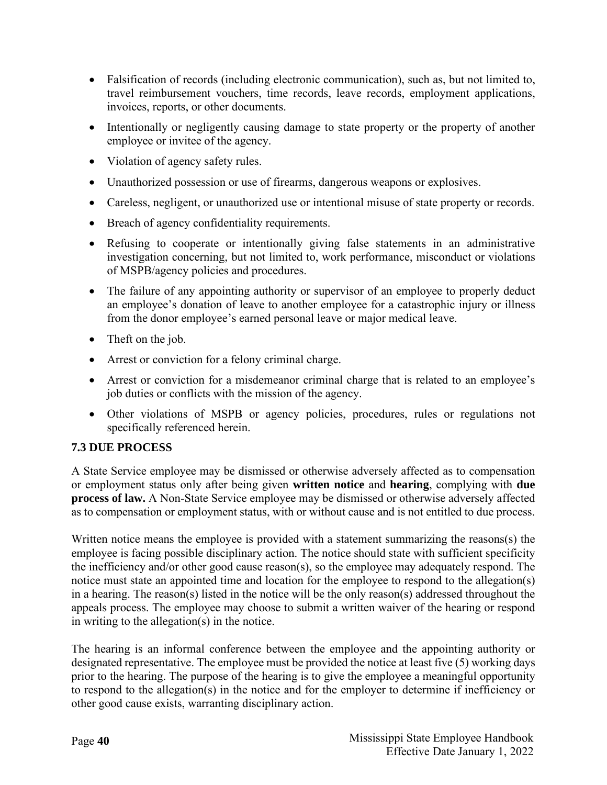- Falsification of records (including electronic communication), such as, but not limited to, travel reimbursement vouchers, time records, leave records, employment applications, invoices, reports, or other documents.
- Intentionally or negligently causing damage to state property or the property of another employee or invitee of the agency.
- Violation of agency safety rules.
- Unauthorized possession or use of firearms, dangerous weapons or explosives.
- Careless, negligent, or unauthorized use or intentional misuse of state property or records.
- Breach of agency confidentiality requirements.
- Refusing to cooperate or intentionally giving false statements in an administrative investigation concerning, but not limited to, work performance, misconduct or violations of MSPB/agency policies and procedures.
- The failure of any appointing authority or supervisor of an employee to properly deduct an employee's donation of leave to another employee for a catastrophic injury or illness from the donor employee's earned personal leave or major medical leave.
- Theft on the job.
- Arrest or conviction for a felony criminal charge.
- Arrest or conviction for a misdemeanor criminal charge that is related to an employee's job duties or conflicts with the mission of the agency.
- Other violations of MSPB or agency policies, procedures, rules or regulations not specifically referenced herein.

# <span id="page-44-0"></span>**7.3 DUE PROCESS**

A State Service employee may be dismissed or otherwise adversely affected as to compensation or employment status only after being given **written notice** and **hearing**, complying with **due process of law.** A Non-State Service employee may be dismissed or otherwise adversely affected as to compensation or employment status, with or without cause and is not entitled to due process.

Written notice means the employee is provided with a statement summarizing the reasons(s) the employee is facing possible disciplinary action. The notice should state with sufficient specificity the inefficiency and/or other good cause reason(s), so the employee may adequately respond. The notice must state an appointed time and location for the employee to respond to the allegation(s) in a hearing. The reason(s) listed in the notice will be the only reason(s) addressed throughout the appeals process. The employee may choose to submit a written waiver of the hearing or respond in writing to the allegation(s) in the notice.

The hearing is an informal conference between the employee and the appointing authority or designated representative. The employee must be provided the notice at least five (5) working days prior to the hearing. The purpose of the hearing is to give the employee a meaningful opportunity to respond to the allegation(s) in the notice and for the employer to determine if inefficiency or other good cause exists, warranting disciplinary action.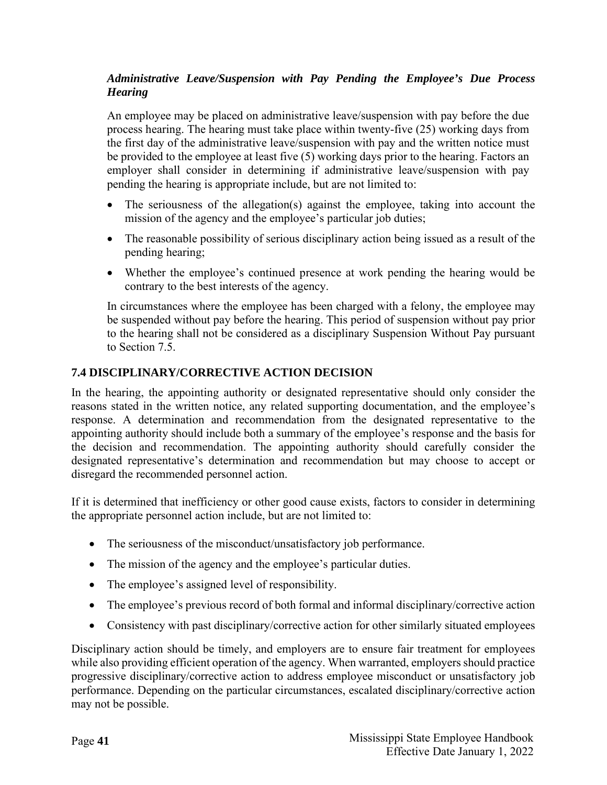# *Administrative Leave/Suspension with Pay Pending the Employee's Due Process Hearing*

An employee may be placed on administrative leave/suspension with pay before the due process hearing. The hearing must take place within twenty-five (25) working days from the first day of the administrative leave/suspension with pay and the written notice must be provided to the employee at least five (5) working days prior to the hearing. Factors an employer shall consider in determining if administrative leave/suspension with pay pending the hearing is appropriate include, but are not limited to:

- The seriousness of the allegation(s) against the employee, taking into account the mission of the agency and the employee's particular job duties;
- The reasonable possibility of serious disciplinary action being issued as a result of the pending hearing;
- Whether the employee's continued presence at work pending the hearing would be contrary to the best interests of the agency.

In circumstances where the employee has been charged with a felony, the employee may be suspended without pay before the hearing. This period of suspension without pay prior to the hearing shall not be considered as a disciplinary Suspension Without Pay pursuant to Section 7.5.

# <span id="page-45-0"></span>**7.4 DISCIPLINARY/CORRECTIVE ACTION DECISION**

In the hearing, the appointing authority or designated representative should only consider the reasons stated in the written notice, any related supporting documentation, and the employee's response. A determination and recommendation from the designated representative to the appointing authority should include both a summary of the employee's response and the basis for the decision and recommendation. The appointing authority should carefully consider the designated representative's determination and recommendation but may choose to accept or disregard the recommended personnel action.

If it is determined that inefficiency or other good cause exists, factors to consider in determining the appropriate personnel action include, but are not limited to:

- The seriousness of the misconduct/unsatisfactory job performance.
- The mission of the agency and the employee's particular duties.
- The employee's assigned level of responsibility.
- The employee's previous record of both formal and informal disciplinary/corrective action
- Consistency with past disciplinary/corrective action for other similarly situated employees

Disciplinary action should be timely, and employers are to ensure fair treatment for employees while also providing efficient operation of the agency. When warranted, employers should practice progressive disciplinary/corrective action to address employee misconduct or unsatisfactory job performance. Depending on the particular circumstances, escalated disciplinary/corrective action may not be possible.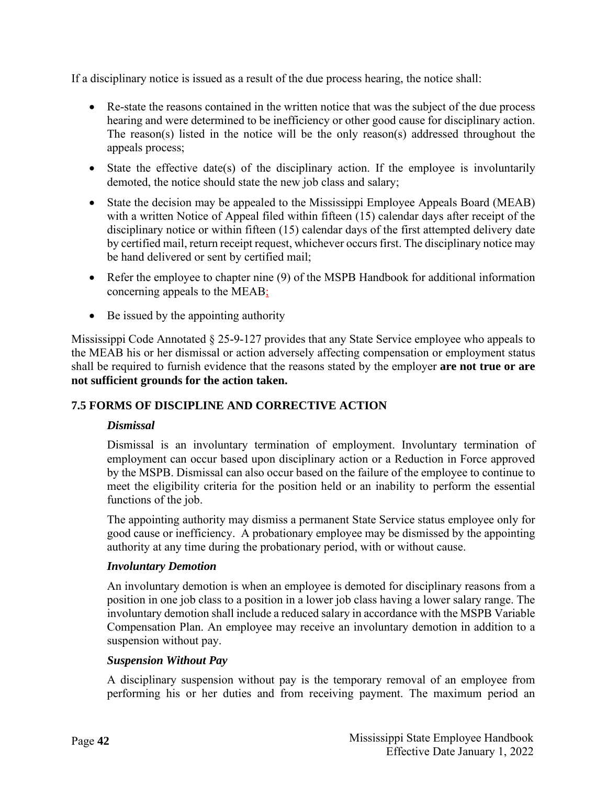If a disciplinary notice is issued as a result of the due process hearing, the notice shall:

- Re-state the reasons contained in the written notice that was the subject of the due process hearing and were determined to be inefficiency or other good cause for disciplinary action. The reason(s) listed in the notice will be the only reason(s) addressed throughout the appeals process;
- State the effective date(s) of the disciplinary action. If the employee is involuntarily demoted, the notice should state the new job class and salary;
- State the decision may be appealed to the Mississippi Employee Appeals Board (MEAB) with a written Notice of Appeal filed within fifteen (15) calendar days after receipt of the disciplinary notice or within fifteen (15) calendar days of the first attempted delivery date by certified mail, return receipt request, whichever occurs first. The disciplinary notice may be hand delivered or sent by certified mail;
- Refer the employee to chapter nine (9) of the MSPB Handbook for additional information concerning appeals to the MEAB;
- Be issued by the appointing authority

Mississippi Code Annotated § 25-9-127 provides that any State Service employee who appeals to the MEAB his or her dismissal or action adversely affecting compensation or employment status shall be required to furnish evidence that the reasons stated by the employer **are not true or are not sufficient grounds for the action taken.**

#### <span id="page-46-1"></span><span id="page-46-0"></span>**7.5 FORMS OF DISCIPLINE AND CORRECTIVE ACTION**

#### *Dismissal*

Dismissal is an involuntary termination of employment. Involuntary termination of employment can occur based upon disciplinary action or a Reduction in Force approved by the MSPB. Dismissal can also occur based on the failure of the employee to continue to meet the eligibility criteria for the position held or an inability to perform the essential functions of the job.

The appointing authority may dismiss a permanent State Service status employee only for good cause or inefficiency. A probationary employee may be dismissed by the appointing authority at any time during the probationary period, with or without cause.

#### <span id="page-46-2"></span>*Involuntary Demotion*

An involuntary demotion is when an employee is demoted for disciplinary reasons from a position in one job class to a position in a lower job class having a lower salary range. The involuntary demotion shall include a reduced salary in accordance with the MSPB Variable Compensation Plan. An employee may receive an involuntary demotion in addition to a suspension without pay.

#### <span id="page-46-3"></span>*Suspension Without Pay*

A disciplinary suspension without pay is the temporary removal of an employee from performing his or her duties and from receiving payment. The maximum period an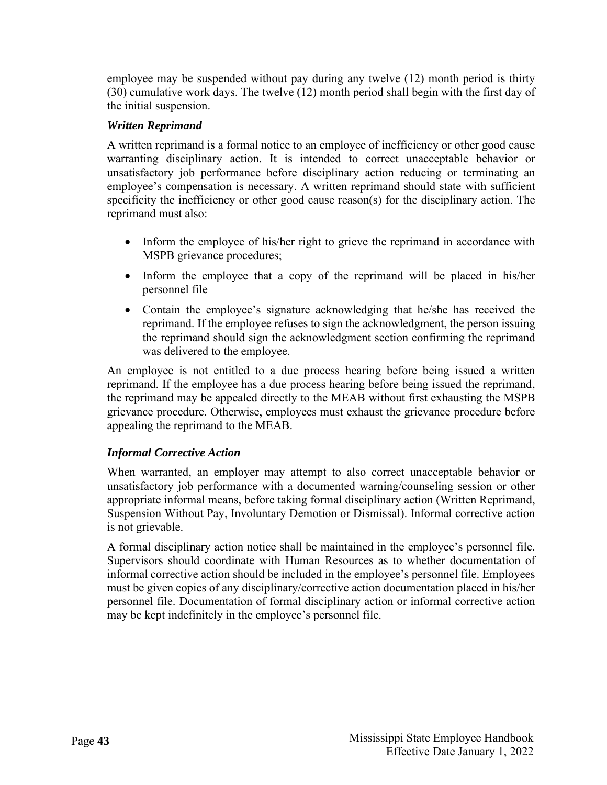employee may be suspended without pay during any twelve (12) month period is thirty (30) cumulative work days. The twelve (12) month period shall begin with the first day of the initial suspension.

# <span id="page-47-0"></span>*Written Reprimand*

A written reprimand is a formal notice to an employee of inefficiency or other good cause warranting disciplinary action. It is intended to correct unacceptable behavior or unsatisfactory job performance before disciplinary action reducing or terminating an employee's compensation is necessary. A written reprimand should state with sufficient specificity the inefficiency or other good cause reason(s) for the disciplinary action. The reprimand must also:

- Inform the employee of his/her right to grieve the reprimand in accordance with MSPB grievance procedures;
- Inform the employee that a copy of the reprimand will be placed in his/her personnel file
- Contain the employee's signature acknowledging that he/she has received the reprimand. If the employee refuses to sign the acknowledgment, the person issuing the reprimand should sign the acknowledgment section confirming the reprimand was delivered to the employee.

An employee is not entitled to a due process hearing before being issued a written reprimand. If the employee has a due process hearing before being issued the reprimand, the reprimand may be appealed directly to the MEAB without first exhausting the MSPB grievance procedure. Otherwise, employees must exhaust the grievance procedure before appealing the reprimand to the MEAB.

#### <span id="page-47-1"></span>*Informal Corrective Action*

When warranted, an employer may attempt to also correct unacceptable behavior or unsatisfactory job performance with a documented warning/counseling session or other appropriate informal means, before taking formal disciplinary action (Written Reprimand, Suspension Without Pay, Involuntary Demotion or Dismissal). Informal corrective action is not grievable.

A formal disciplinary action notice shall be maintained in the employee's personnel file. Supervisors should coordinate with Human Resources as to whether documentation of informal corrective action should be included in the employee's personnel file. Employees must be given copies of any disciplinary/corrective action documentation placed in his/her personnel file. Documentation of formal disciplinary action or informal corrective action may be kept indefinitely in the employee's personnel file.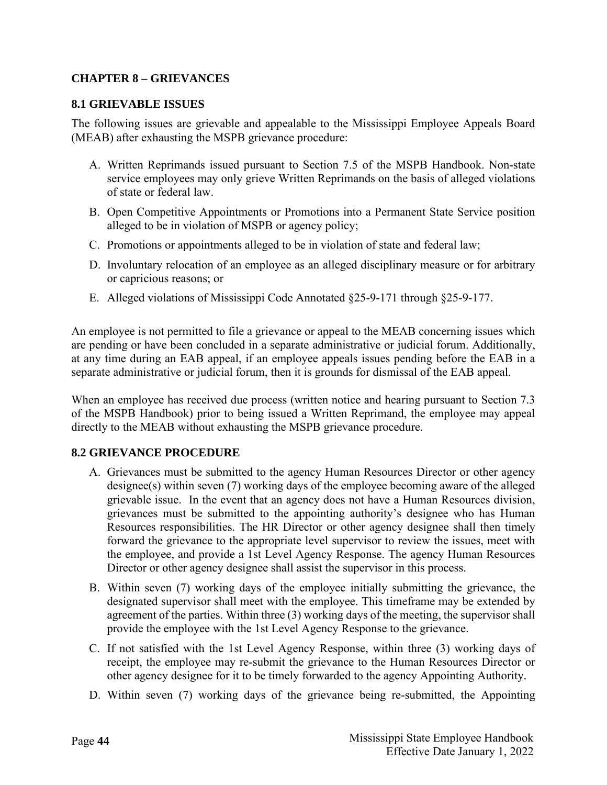# <span id="page-48-0"></span>**CHAPTER 8 – GRIEVANCES**

#### <span id="page-48-1"></span>**8.1 GRIEVABLE ISSUES**

The following issues are grievable and appealable to the Mississippi Employee Appeals Board (MEAB) after exhausting the MSPB grievance procedure:

- A. Written Reprimands issued pursuant to Section 7.5 of the MSPB Handbook. Non-state service employees may only grieve Written Reprimands on the basis of alleged violations of state or federal law.
- B. Open Competitive Appointments or Promotions into a Permanent State Service position alleged to be in violation of MSPB or agency policy;
- C. Promotions or appointments alleged to be in violation of state and federal law;
- D. Involuntary relocation of an employee as an alleged disciplinary measure or for arbitrary or capricious reasons; or
- E. Alleged violations of Mississippi Code Annotated §25-9-171 through §25-9-177.

An employee is not permitted to file a grievance or appeal to the MEAB concerning issues which are pending or have been concluded in a separate administrative or judicial forum. Additionally, at any time during an EAB appeal, if an employee appeals issues pending before the EAB in a separate administrative or judicial forum, then it is grounds for dismissal of the EAB appeal.

When an employee has received due process (written notice and hearing pursuant to Section 7.3 of the MSPB Handbook) prior to being issued a Written Reprimand, the employee may appeal directly to the MEAB without exhausting the MSPB grievance procedure.

#### <span id="page-48-2"></span>**8.2 GRIEVANCE PROCEDURE**

- A. Grievances must be submitted to the agency Human Resources Director or other agency designee(s) within seven (7) working days of the employee becoming aware of the alleged grievable issue. In the event that an agency does not have a Human Resources division, grievances must be submitted to the appointing authority's designee who has Human Resources responsibilities. The HR Director or other agency designee shall then timely forward the grievance to the appropriate level supervisor to review the issues, meet with the employee, and provide a 1st Level Agency Response. The agency Human Resources Director or other agency designee shall assist the supervisor in this process.
- B. Within seven (7) working days of the employee initially submitting the grievance, the designated supervisor shall meet with the employee. This timeframe may be extended by agreement of the parties. Within three (3) working days of the meeting, the supervisor shall provide the employee with the 1st Level Agency Response to the grievance.
- C. If not satisfied with the 1st Level Agency Response, within three (3) working days of receipt, the employee may re-submit the grievance to the Human Resources Director or other agency designee for it to be timely forwarded to the agency Appointing Authority.
- D. Within seven (7) working days of the grievance being re-submitted, the Appointing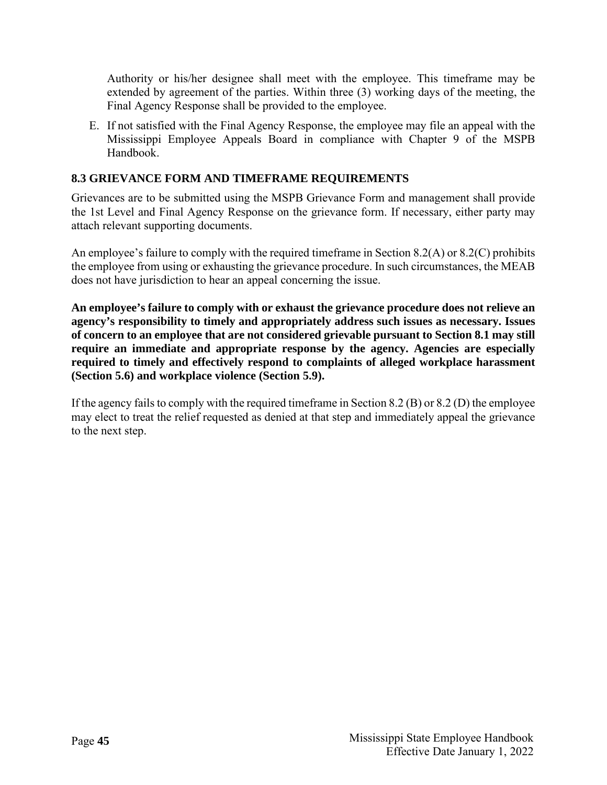Authority or his/her designee shall meet with the employee. This timeframe may be extended by agreement of the parties. Within three (3) working days of the meeting, the Final Agency Response shall be provided to the employee.

E. If not satisfied with the Final Agency Response, the employee may file an appeal with the Mississippi Employee Appeals Board in compliance with Chapter 9 of the MSPB Handbook.

# <span id="page-49-0"></span>**8.3 GRIEVANCE FORM AND TIMEFRAME REQUIREMENTS**

Grievances are to be submitted using the MSPB Grievance Form and management shall provide the 1st Level and Final Agency Response on the grievance form. If necessary, either party may attach relevant supporting documents.

An employee's failure to comply with the required timeframe in Section 8.2(A) or 8.2(C) prohibits the employee from using or exhausting the grievance procedure. In such circumstances, the MEAB does not have jurisdiction to hear an appeal concerning the issue.

**An employee's failure to comply with or exhaust the grievance procedure does not relieve an agency's responsibility to timely and appropriately address such issues as necessary. Issues of concern to an employee that are not considered grievable pursuant to Section 8.1 may still require an immediate and appropriate response by the agency. Agencies are especially required to timely and effectively respond to complaints of alleged workplace harassment (Section 5.6) and workplace violence (Section 5.9).** 

If the agency fails to comply with the required timeframe in Section 8.2 (B) or 8.2 (D) the employee may elect to treat the relief requested as denied at that step and immediately appeal the grievance to the next step.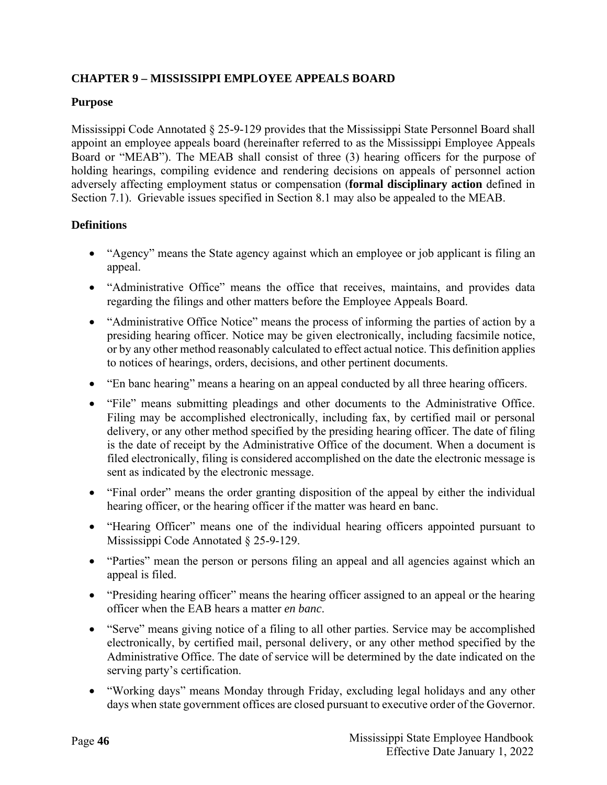# <span id="page-50-0"></span>**CHAPTER 9 – MISSISSIPPI EMPLOYEE APPEALS BOARD**

# **Purpose**

Mississippi Code Annotated § 25-9-129 provides that the Mississippi State Personnel Board shall appoint an employee appeals board (hereinafter referred to as the Mississippi Employee Appeals Board or "MEAB"). The MEAB shall consist of three (3) hearing officers for the purpose of holding hearings, compiling evidence and rendering decisions on appeals of personnel action adversely affecting employment status or compensation (**formal disciplinary action** defined in Section 7.1). Grievable issues specified in Section 8.1 may also be appealed to the MEAB.

# **Definitions**

- "Agency" means the State agency against which an employee or job applicant is filing an appeal.
- "Administrative Office" means the office that receives, maintains, and provides data regarding the filings and other matters before the Employee Appeals Board.
- "Administrative Office Notice" means the process of informing the parties of action by a presiding hearing officer. Notice may be given electronically, including facsimile notice, or by any other method reasonably calculated to effect actual notice. This definition applies to notices of hearings, orders, decisions, and other pertinent documents.
- "En banc hearing" means a hearing on an appeal conducted by all three hearing officers.
- "File" means submitting pleadings and other documents to the Administrative Office. Filing may be accomplished electronically, including fax, by certified mail or personal delivery, or any other method specified by the presiding hearing officer. The date of filing is the date of receipt by the Administrative Office of the document. When a document is filed electronically, filing is considered accomplished on the date the electronic message is sent as indicated by the electronic message.
- "Final order" means the order granting disposition of the appeal by either the individual hearing officer, or the hearing officer if the matter was heard en banc.
- "Hearing Officer" means one of the individual hearing officers appointed pursuant to Mississippi Code Annotated § 25-9-129.
- "Parties" mean the person or persons filing an appeal and all agencies against which an appeal is filed.
- "Presiding hearing officer" means the hearing officer assigned to an appeal or the hearing officer when the EAB hears a matter *en banc*.
- "Serve" means giving notice of a filing to all other parties. Service may be accomplished electronically, by certified mail, personal delivery, or any other method specified by the Administrative Office. The date of service will be determined by the date indicated on the serving party's certification.
- "Working days" means Monday through Friday, excluding legal holidays and any other days when state government offices are closed pursuant to executive order of the Governor.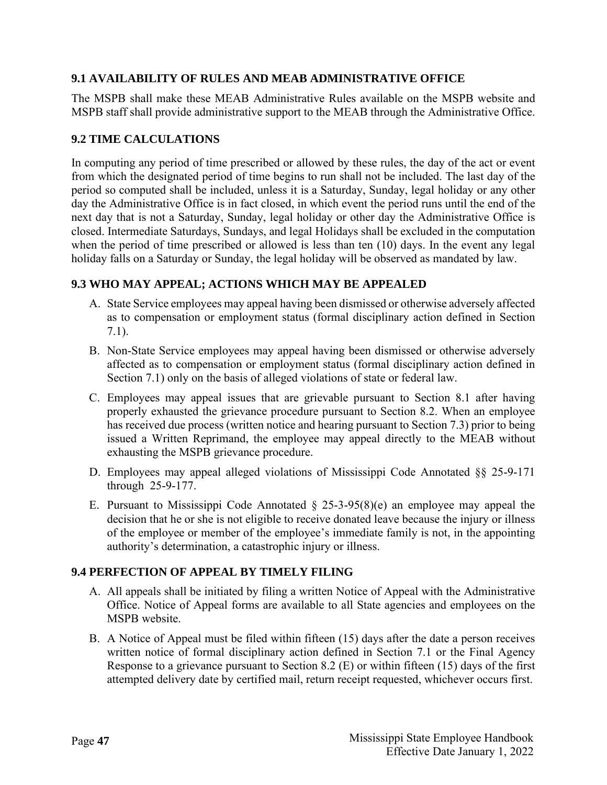# <span id="page-51-0"></span>**9.1 AVAILABILITY OF RULES AND MEAB ADMINISTRATIVE OFFICE**

The MSPB shall make these MEAB Administrative Rules available on the MSPB website and MSPB staff shall provide administrative support to the MEAB through the Administrative Office.

# <span id="page-51-1"></span>**9.2 TIME CALCULATIONS**

In computing any period of time prescribed or allowed by these rules, the day of the act or event from which the designated period of time begins to run shall not be included. The last day of the period so computed shall be included, unless it is a Saturday, Sunday, legal holiday or any other day the Administrative Office is in fact closed, in which event the period runs until the end of the next day that is not a Saturday, Sunday, legal holiday or other day the Administrative Office is closed. Intermediate Saturdays, Sundays, and legal Holidays shall be excluded in the computation when the period of time prescribed or allowed is less than ten (10) days. In the event any legal holiday falls on a Saturday or Sunday, the legal holiday will be observed as mandated by law.

#### <span id="page-51-2"></span>**9.3 WHO MAY APPEAL; ACTIONS WHICH MAY BE APPEALED**

- A. State Service employees may appeal having been dismissed or otherwise adversely affected as to compensation or employment status (formal disciplinary action defined in Section 7.1).
- B. Non-State Service employees may appeal having been dismissed or otherwise adversely affected as to compensation or employment status (formal disciplinary action defined in Section 7.1) only on the basis of alleged violations of state or federal law.
- C. Employees may appeal issues that are grievable pursuant to Section 8.1 after having properly exhausted the grievance procedure pursuant to Section 8.2. When an employee has received due process (written notice and hearing pursuant to Section 7.3) prior to being issued a Written Reprimand, the employee may appeal directly to the MEAB without exhausting the MSPB grievance procedure.
- D. Employees may appeal alleged violations of Mississippi Code Annotated §§ 25-9-171 through 25-9-177.
- E. Pursuant to Mississippi Code Annotated  $\S$  25-3-95(8)(e) an employee may appeal the decision that he or she is not eligible to receive donated leave because the injury or illness of the employee or member of the employee's immediate family is not, in the appointing authority's determination, a catastrophic injury or illness.

#### <span id="page-51-3"></span>**9.4 PERFECTION OF APPEAL BY TIMELY FILING**

- A. All appeals shall be initiated by filing a written Notice of Appeal with the Administrative Office. Notice of Appeal forms are available to all State agencies and employees on the MSPB website.
- B. A Notice of Appeal must be filed within fifteen (15) days after the date a person receives written notice of formal disciplinary action defined in Section 7.1 or the Final Agency Response to a grievance pursuant to Section 8.2 (E) or within fifteen (15) days of the first attempted delivery date by certified mail, return receipt requested, whichever occurs first.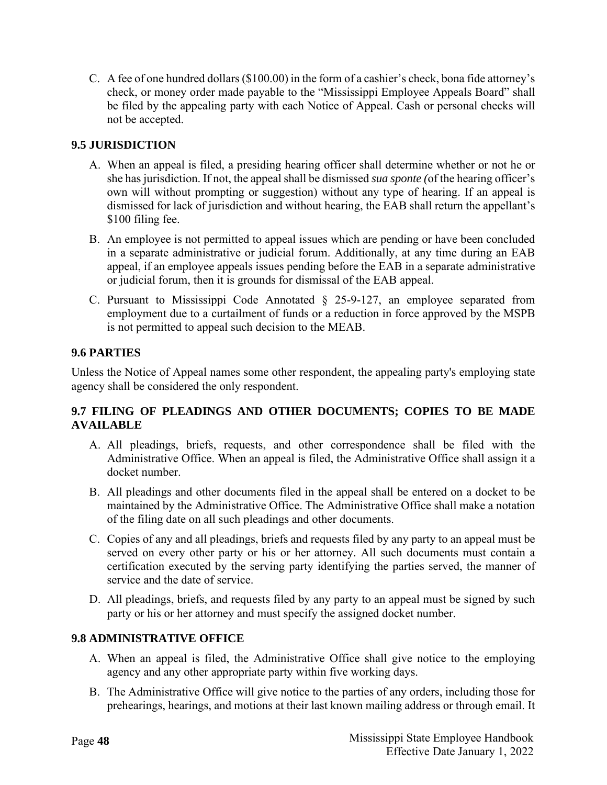C. A fee of one hundred dollars (\$100.00) in the form of a cashier's check, bona fide attorney's check, or money order made payable to the "Mississippi Employee Appeals Board" shall be filed by the appealing party with each Notice of Appeal. Cash or personal checks will not be accepted.

# <span id="page-52-0"></span>**9.5 JURISDICTION**

- A. When an appeal is filed, a presiding hearing officer shall determine whether or not he or she has jurisdiction. If not, the appeal shall be dismissed *sua sponte (*of the hearing officer's own will without prompting or suggestion) without any type of hearing. If an appeal is dismissed for lack of jurisdiction and without hearing, the EAB shall return the appellant's \$100 filing fee.
- B. An employee is not permitted to appeal issues which are pending or have been concluded in a separate administrative or judicial forum. Additionally, at any time during an EAB appeal, if an employee appeals issues pending before the EAB in a separate administrative or judicial forum, then it is grounds for dismissal of the EAB appeal.
- C. Pursuant to Mississippi Code Annotated § 25-9-127, an employee separated from employment due to a curtailment of funds or a reduction in force approved by the MSPB is not permitted to appeal such decision to the MEAB.

# <span id="page-52-1"></span>**9.6 PARTIES**

Unless the Notice of Appeal names some other respondent, the appealing party's employing state agency shall be considered the only respondent.

# <span id="page-52-2"></span>**9.7 FILING OF PLEADINGS AND OTHER DOCUMENTS; COPIES TO BE MADE AVAILABLE**

- A. All pleadings, briefs, requests, and other correspondence shall be filed with the Administrative Office. When an appeal is filed, the Administrative Office shall assign it a docket number.
- B. All pleadings and other documents filed in the appeal shall be entered on a docket to be maintained by the Administrative Office. The Administrative Office shall make a notation of the filing date on all such pleadings and other documents.
- C. Copies of any and all pleadings, briefs and requests filed by any party to an appeal must be served on every other party or his or her attorney. All such documents must contain a certification executed by the serving party identifying the parties served, the manner of service and the date of service.
- D. All pleadings, briefs, and requests filed by any party to an appeal must be signed by such party or his or her attorney and must specify the assigned docket number.

# <span id="page-52-3"></span>**9.8 ADMINISTRATIVE OFFICE**

- A. When an appeal is filed, the Administrative Office shall give notice to the employing agency and any other appropriate party within five working days.
- B. The Administrative Office will give notice to the parties of any orders, including those for prehearings, hearings, and motions at their last known mailing address or through email. It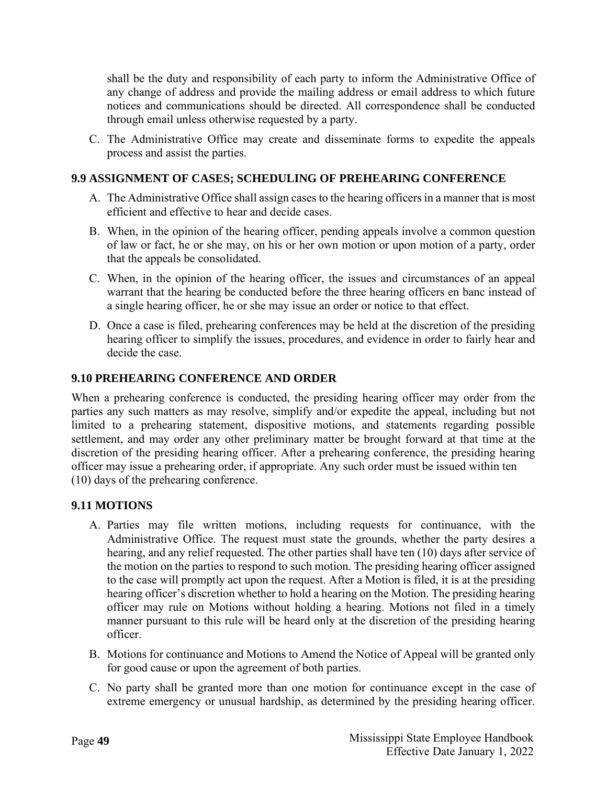shall be the duty and responsibility of each party to inform the Administrative Office of any change of address and provide the mailing address or email address to which future notices and communications should be directed. All correspondence shall be conducted through email unless otherwise requested by a party.

C. The Administrative Office may create and disseminate forms to expedite the appeals process and assist the parties.

# <span id="page-53-0"></span>**9.9 ASSIGNMENT OF CASES; SCHEDULING OF PREHEARING CONFERENCE**

- A. The Administrative Office shall assign cases to the hearing officers in a manner that is most efficient and effective to hear and decide cases.
- B. When, in the opinion of the hearing officer, pending appeals involve a common question of law or fact, he or she may, on his or her own motion or upon motion of a party, order that the appeals be consolidated.
- C. When, in the opinion of the hearing officer, the issues and circumstances of an appeal warrant that the hearing be conducted before the three hearing officers en banc instead of a single hearing officer, he or she may issue an order or notice to that effect.
- D. Once a case is filed, prehearing conferences may be held at the discretion of the presiding hearing officer to simplify the issues, procedures, and evidence in order to fairly hear and decide the case.

# <span id="page-53-1"></span>**9.10 PREHEARING CONFERENCE AND ORDER**

When a prehearing conference is conducted, the presiding hearing officer may order from the parties any such matters as may resolve, simplify and/or expedite the appeal, including but not limited to a prehearing statement, dispositive motions, and statements regarding possible settlement, and may order any other preliminary matter be brought forward at that time at the discretion of the presiding hearing officer. After a prehearing conference, the presiding hearing officer may issue a prehearing order, if appropriate. Any such order must be issued within ten (10) days of the prehearing conference.

#### <span id="page-53-2"></span>**9.11 MOTIONS**

- A. Parties may file written motions, including requests for continuance, with the Administrative Office. The request must state the grounds, whether the party desires a hearing, and any relief requested. The other parties shall have ten (10) days after service of the motion on the parties to respond to such motion. The presiding hearing officer assigned to the case will promptly act upon the request. After a Motion is filed, it is at the presiding hearing officer's discretion whether to hold a hearing on the Motion. The presiding hearing officer may rule on Motions without holding a hearing. Motions not filed in a timely manner pursuant to this rule will be heard only at the discretion of the presiding hearing officer.
- B. Motions for continuance and Motions to Amend the Notice of Appeal will be granted only for good cause or upon the agreement of both parties.
- C. No party shall be granted more than one motion for continuance except in the case of extreme emergency or unusual hardship, as determined by the presiding hearing officer.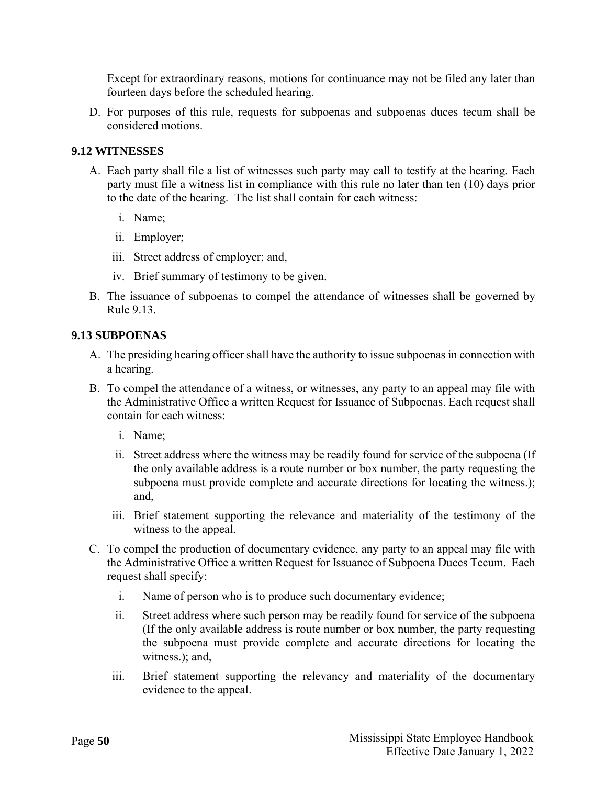Except for extraordinary reasons, motions for continuance may not be filed any later than fourteen days before the scheduled hearing.

D. For purposes of this rule, requests for subpoenas and subpoenas duces tecum shall be considered motions.

#### <span id="page-54-0"></span>**9.12 WITNESSES**

- A. Each party shall file a list of witnesses such party may call to testify at the hearing. Each party must file a witness list in compliance with this rule no later than ten (10) days prior to the date of the hearing. The list shall contain for each witness:
	- i. Name;
	- ii. Employer;
	- iii. Street address of employer; and,
	- iv. Brief summary of testimony to be given.
- B. The issuance of subpoenas to compel the attendance of witnesses shall be governed by Rule 9.13.

#### <span id="page-54-1"></span>**9.13 SUBPOENAS**

- A. The presiding hearing officer shall have the authority to issue subpoenas in connection with a hearing.
- B. To compel the attendance of a witness, or witnesses, any party to an appeal may file with the Administrative Office a written Request for Issuance of Subpoenas. Each request shall contain for each witness:
	- i. Name;
	- ii. Street address where the witness may be readily found for service of the subpoena (If the only available address is a route number or box number, the party requesting the subpoena must provide complete and accurate directions for locating the witness.); and,
	- iii. Brief statement supporting the relevance and materiality of the testimony of the witness to the appeal.
- C. To compel the production of documentary evidence, any party to an appeal may file with the Administrative Office a written Request for Issuance of Subpoena Duces Tecum. Each request shall specify:
	- i. Name of person who is to produce such documentary evidence;
	- ii. Street address where such person may be readily found for service of the subpoena (If the only available address is route number or box number, the party requesting the subpoena must provide complete and accurate directions for locating the witness.); and,
	- iii. Brief statement supporting the relevancy and materiality of the documentary evidence to the appeal.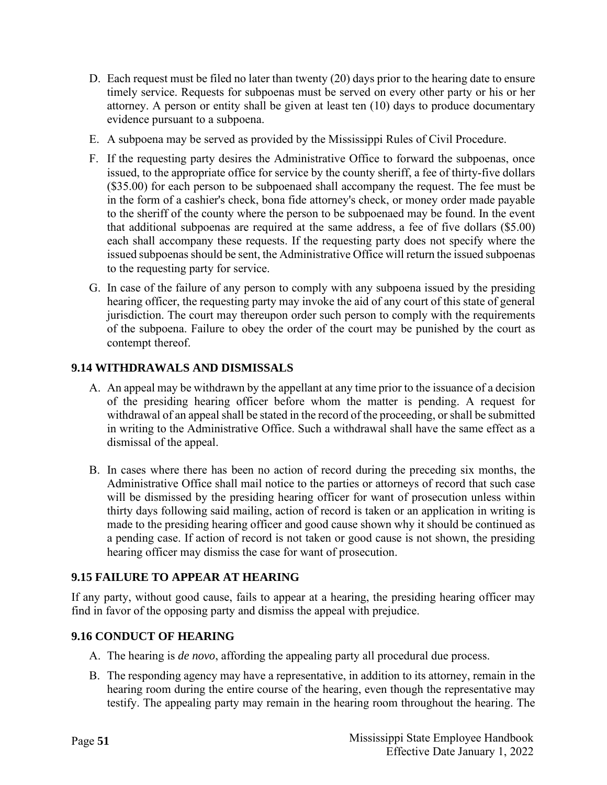- D. Each request must be filed no later than twenty (20) days prior to the hearing date to ensure timely service. Requests for subpoenas must be served on every other party or his or her attorney. A person or entity shall be given at least ten (10) days to produce documentary evidence pursuant to a subpoena.
- E. A subpoena may be served as provided by the Mississippi Rules of Civil Procedure.
- F. If the requesting party desires the Administrative Office to forward the subpoenas, once issued, to the appropriate office for service by the county sheriff, a fee of thirty-five dollars (\$35.00) for each person to be subpoenaed shall accompany the request. The fee must be in the form of a cashier's check, bona fide attorney's check, or money order made payable to the sheriff of the county where the person to be subpoenaed may be found. In the event that additional subpoenas are required at the same address, a fee of five dollars (\$5.00) each shall accompany these requests. If the requesting party does not specify where the issued subpoenas should be sent, the Administrative Office will return the issued subpoenas to the requesting party for service.
- G. In case of the failure of any person to comply with any subpoena issued by the presiding hearing officer, the requesting party may invoke the aid of any court of this state of general jurisdiction. The court may thereupon order such person to comply with the requirements of the subpoena. Failure to obey the order of the court may be punished by the court as contempt thereof.

# <span id="page-55-0"></span>**9.14 WITHDRAWALS AND DISMISSALS**

- A. An appeal may be withdrawn by the appellant at any time prior to the issuance of a decision of the presiding hearing officer before whom the matter is pending. A request for withdrawal of an appeal shall be stated in the record of the proceeding, or shall be submitted in writing to the Administrative Office. Such a withdrawal shall have the same effect as a dismissal of the appeal.
- B. In cases where there has been no action of record during the preceding six months, the Administrative Office shall mail notice to the parties or attorneys of record that such case will be dismissed by the presiding hearing officer for want of prosecution unless within thirty days following said mailing, action of record is taken or an application in writing is made to the presiding hearing officer and good cause shown why it should be continued as a pending case. If action of record is not taken or good cause is not shown, the presiding hearing officer may dismiss the case for want of prosecution.

# <span id="page-55-1"></span>**9.15 FAILURE TO APPEAR AT HEARING**

If any party, without good cause, fails to appear at a hearing, the presiding hearing officer may find in favor of the opposing party and dismiss the appeal with prejudice.

# <span id="page-55-2"></span>**9.16 CONDUCT OF HEARING**

- A. The hearing is *de novo*, affording the appealing party all procedural due process.
- B. The responding agency may have a representative, in addition to its attorney, remain in the hearing room during the entire course of the hearing, even though the representative may testify. The appealing party may remain in the hearing room throughout the hearing. The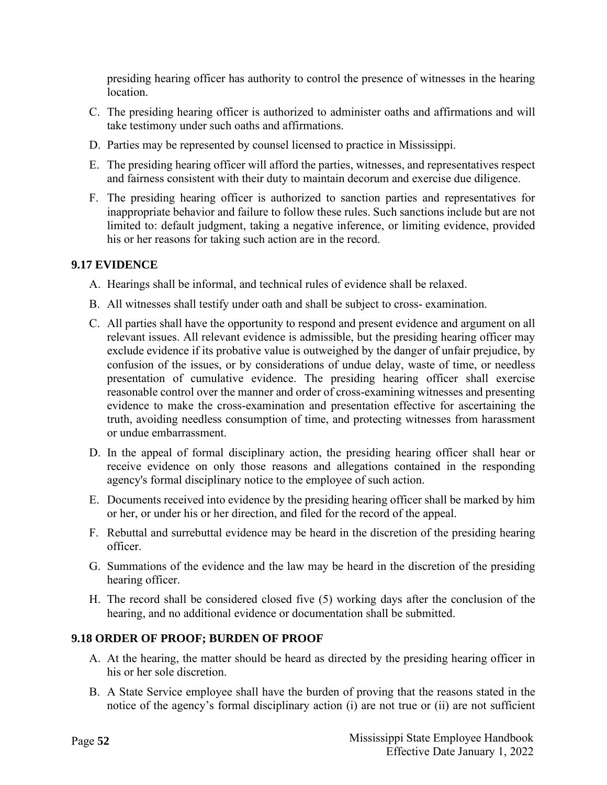presiding hearing officer has authority to control the presence of witnesses in the hearing location.

- C. The presiding hearing officer is authorized to administer oaths and affirmations and will take testimony under such oaths and affirmations.
- D. Parties may be represented by counsel licensed to practice in Mississippi.
- E. The presiding hearing officer will afford the parties, witnesses, and representatives respect and fairness consistent with their duty to maintain decorum and exercise due diligence.
- F. The presiding hearing officer is authorized to sanction parties and representatives for inappropriate behavior and failure to follow these rules. Such sanctions include but are not limited to: default judgment, taking a negative inference, or limiting evidence, provided his or her reasons for taking such action are in the record.

#### <span id="page-56-0"></span>**9.17 EVIDENCE**

- A. Hearings shall be informal, and technical rules of evidence shall be relaxed.
- B. All witnesses shall testify under oath and shall be subject to cross- examination.
- C. All parties shall have the opportunity to respond and present evidence and argument on all relevant issues. All relevant evidence is admissible, but the presiding hearing officer may exclude evidence if its probative value is outweighed by the danger of unfair prejudice, by confusion of the issues, or by considerations of undue delay, waste of time, or needless presentation of cumulative evidence. The presiding hearing officer shall exercise reasonable control over the manner and order of cross-examining witnesses and presenting evidence to make the cross-examination and presentation effective for ascertaining the truth, avoiding needless consumption of time, and protecting witnesses from harassment or undue embarrassment.
- D. In the appeal of formal disciplinary action, the presiding hearing officer shall hear or receive evidence on only those reasons and allegations contained in the responding agency's formal disciplinary notice to the employee of such action.
- E. Documents received into evidence by the presiding hearing officer shall be marked by him or her, or under his or her direction, and filed for the record of the appeal.
- F. Rebuttal and surrebuttal evidence may be heard in the discretion of the presiding hearing officer.
- G. Summations of the evidence and the law may be heard in the discretion of the presiding hearing officer.
- H. The record shall be considered closed five (5) working days after the conclusion of the hearing, and no additional evidence or documentation shall be submitted.

#### <span id="page-56-1"></span>**9.18 ORDER OF PROOF; BURDEN OF PROOF**

- A. At the hearing, the matter should be heard as directed by the presiding hearing officer in his or her sole discretion.
- B. A State Service employee shall have the burden of proving that the reasons stated in the notice of the agency's formal disciplinary action (i) are not true or (ii) are not sufficient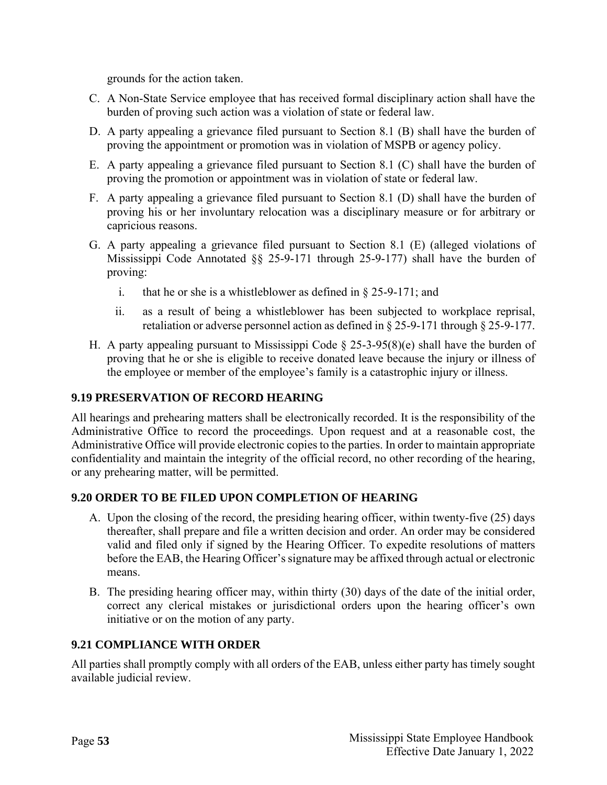grounds for the action taken.

- C. A Non-State Service employee that has received formal disciplinary action shall have the burden of proving such action was a violation of state or federal law.
- D. A party appealing a grievance filed pursuant to Section 8.1 (B) shall have the burden of proving the appointment or promotion was in violation of MSPB or agency policy.
- E. A party appealing a grievance filed pursuant to Section 8.1 (C) shall have the burden of proving the promotion or appointment was in violation of state or federal law.
- F. A party appealing a grievance filed pursuant to Section 8.1 (D) shall have the burden of proving his or her involuntary relocation was a disciplinary measure or for arbitrary or capricious reasons.
- G. A party appealing a grievance filed pursuant to Section 8.1 (E) (alleged violations of Mississippi Code Annotated §§ 25-9-171 through 25-9-177) shall have the burden of proving:
	- i. that he or she is a whistleblower as defined in § 25-9-171; and
	- ii. as a result of being a whistleblower has been subjected to workplace reprisal, retaliation or adverse personnel action as defined in § 25-9-171 through § 25-9-177.
- H. A party appealing pursuant to Mississippi Code  $\S$  25-3-95(8)(e) shall have the burden of proving that he or she is eligible to receive donated leave because the injury or illness of the employee or member of the employee's family is a catastrophic injury or illness.

#### <span id="page-57-0"></span>**9.19 PRESERVATION OF RECORD HEARING**

All hearings and prehearing matters shall be electronically recorded. It is the responsibility of the Administrative Office to record the proceedings. Upon request and at a reasonable cost, the Administrative Office will provide electronic copies to the parties. In order to maintain appropriate confidentiality and maintain the integrity of the official record, no other recording of the hearing, or any prehearing matter, will be permitted.

#### <span id="page-57-1"></span>**9.20 ORDER TO BE FILED UPON COMPLETION OF HEARING**

- A. Upon the closing of the record, the presiding hearing officer, within twenty-five (25) days thereafter, shall prepare and file a written decision and order. An order may be considered valid and filed only if signed by the Hearing Officer. To expedite resolutions of matters before the EAB, the Hearing Officer's signature may be affixed through actual or electronic means.
- B. The presiding hearing officer may, within thirty (30) days of the date of the initial order, correct any clerical mistakes or jurisdictional orders upon the hearing officer's own initiative or on the motion of any party.

#### <span id="page-57-2"></span>**9.21 COMPLIANCE WITH ORDER**

All parties shall promptly comply with all orders of the EAB, unless either party has timely sought available judicial review.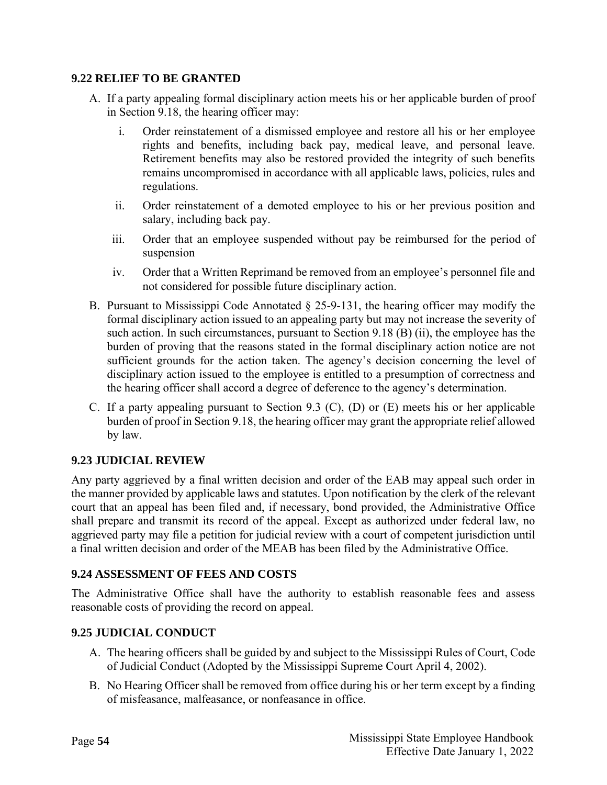#### <span id="page-58-0"></span>**9.22 RELIEF TO BE GRANTED**

- A. If a party appealing formal disciplinary action meets his or her applicable burden of proof in Section 9.18, the hearing officer may:
	- i. Order reinstatement of a dismissed employee and restore all his or her employee rights and benefits, including back pay, medical leave, and personal leave. Retirement benefits may also be restored provided the integrity of such benefits remains uncompromised in accordance with all applicable laws, policies, rules and regulations.
	- ii. Order reinstatement of a demoted employee to his or her previous position and salary, including back pay.
	- iii. Order that an employee suspended without pay be reimbursed for the period of suspension
	- iv. Order that a Written Reprimand be removed from an employee's personnel file and not considered for possible future disciplinary action.
- B. Pursuant to Mississippi Code Annotated § 25-9-131, the hearing officer may modify the formal disciplinary action issued to an appealing party but may not increase the severity of such action. In such circumstances, pursuant to Section 9.18 (B) (ii), the employee has the burden of proving that the reasons stated in the formal disciplinary action notice are not sufficient grounds for the action taken. The agency's decision concerning the level of disciplinary action issued to the employee is entitled to a presumption of correctness and the hearing officer shall accord a degree of deference to the agency's determination.
- C. If a party appealing pursuant to Section 9.3 (C), (D) or (E) meets his or her applicable burden of proof in Section 9.18, the hearing officer may grant the appropriate relief allowed by law.

#### <span id="page-58-1"></span>**9.23 JUDICIAL REVIEW**

Any party aggrieved by a final written decision and order of the EAB may appeal such order in the manner provided by applicable laws and statutes. Upon notification by the clerk of the relevant court that an appeal has been filed and, if necessary, bond provided, the Administrative Office shall prepare and transmit its record of the appeal. Except as authorized under federal law, no aggrieved party may file a petition for judicial review with a court of competent jurisdiction until a final written decision and order of the MEAB has been filed by the Administrative Office.

#### <span id="page-58-2"></span>**9.24 ASSESSMENT OF FEES AND COSTS**

The Administrative Office shall have the authority to establish reasonable fees and assess reasonable costs of providing the record on appeal.

#### <span id="page-58-3"></span>**9.25 JUDICIAL CONDUCT**

- A. The hearing officers shall be guided by and subject to the Mississippi Rules of Court, Code of Judicial Conduct (Adopted by the Mississippi Supreme Court April 4, 2002).
- B. No Hearing Officer shall be removed from office during his or her term except by a finding of misfeasance, malfeasance, or nonfeasance in office.